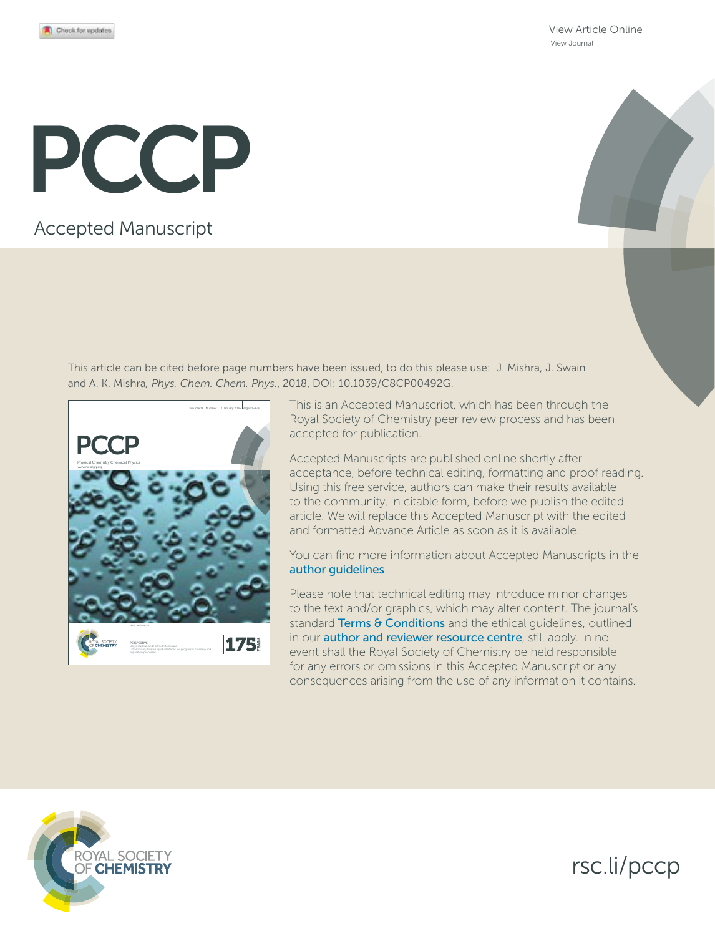View Article Online View Journal

# PCCP

# Accepted Manuscript

This article can be cited before page numbers have been issued, to do this please use: J. Mishra, J. Swain and A. K. Mishra*, Phys. Chem. Chem. Phys.*, 2018, DOI: 10.1039/C8CP00492G.



This is an Accepted Manuscript, which has been through the Royal Society of Chemistry peer review process and has been accepted for publication.

Accepted Manuscripts are published online shortly after acceptance, before technical editing, formatting and proof reading. Using this free service, authors can make their results available to the community, in citable form, before we publish the edited article. We will replace this Accepted Manuscript with the edited and formatted Advance Article as soon as it is available.

You can find more information about Accepted Manuscripts in the author guidelines.

Please note that technical editing may introduce minor changes to the text and/or graphics, which may alter content. The journal's standard Terms & Conditions and the ethical guidelines, outlined in our **author and reviewer resource centre**, still apply. In no event shall the Royal Society of Chemistry be held responsible for any errors or omissions in this Accepted Manuscript or any consequences arising from the use of any information it contains.



rsc.li/pccp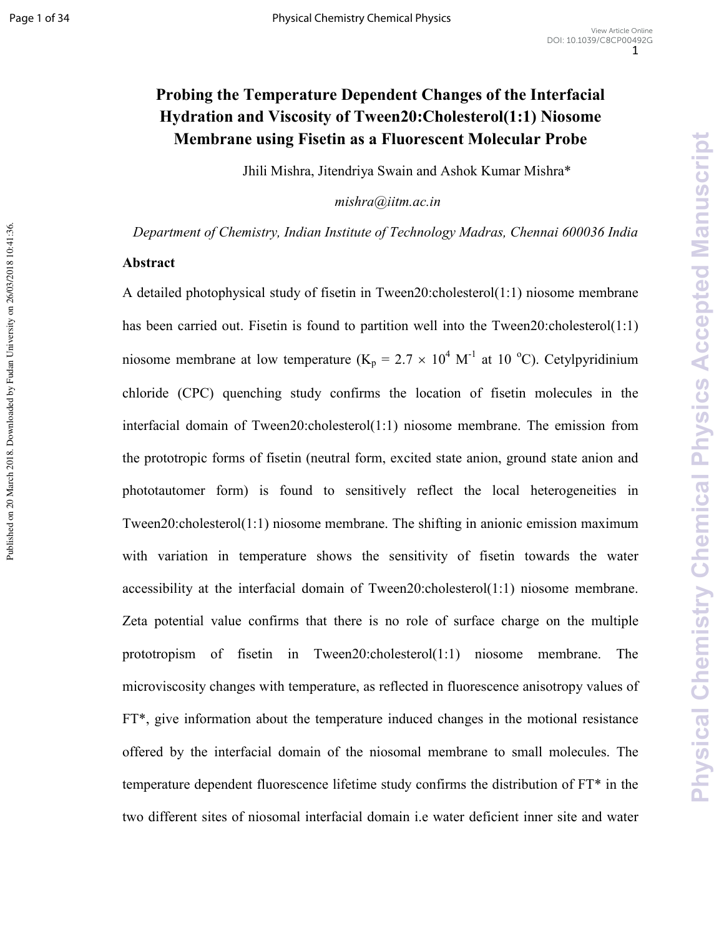Published on 20 March 2018. Downloaded by Fudan University on 26/03/2018 10:41:36.

# Probing the Temperature Dependent Changes of the Interfacial **Hydration and Viscosity of Tween20: Cholesterol(1:1) Niosome Membrane using Fisetin as a Fluorescent Molecular Probe**

Jhili Mishra, Jitendriya Swain and Ashok Kumar Mishra\*

*mishra@iitm.ac.in* 

 *Department of Chemistry, Indian Institute of Technology Madras, Chennai 600036 India* 

#### **Abstract**

A detailed photophysical study of fisetin in Tween20:cholesterol(1:1) niosome membrane has been carried out. Fisetin is found to partition well into the Tween20:cholesterol(1:1) niosome membrane at low temperature ( $K_p = 2.7 \times 10^4$  M<sup>-1</sup> at 10 °C). Cetylpyridinium chloride (CPC) quenching study confirms the location of fisetin molecules in the interfacial domain of Tween20:cholesterol(1:1) niosome membrane. The emission from the prototropic forms of fisetin (neutral form, excited state anion, ground state anion and phototautomer form) is found to sensitively reflect the local heterogeneities in Tween20:cholesterol(1:1) niosome membrane. The shifting in anionic emission maximum with variation in temperature shows the sensitivity of fisetin towards the water accessibility at the interfacial domain of Tween20:cholesterol(1:1) niosome membrane. Zeta potential value confirms that there is no role of surface charge on the multiple prototropism of fisetin in Tween20:cholesterol(1:1) niosome membrane. The microviscosity changes with temperature, as reflected in fluorescence anisotropy values of FT\*, give information about the temperature induced changes in the motional resistance offered by the interfacial domain of the niosomal membrane to small molecules. The temperature dependent fluorescence lifetime study confirms the distribution of FT\* in the two different sites of niosomal interfacial domain i.e water deficient inner site and water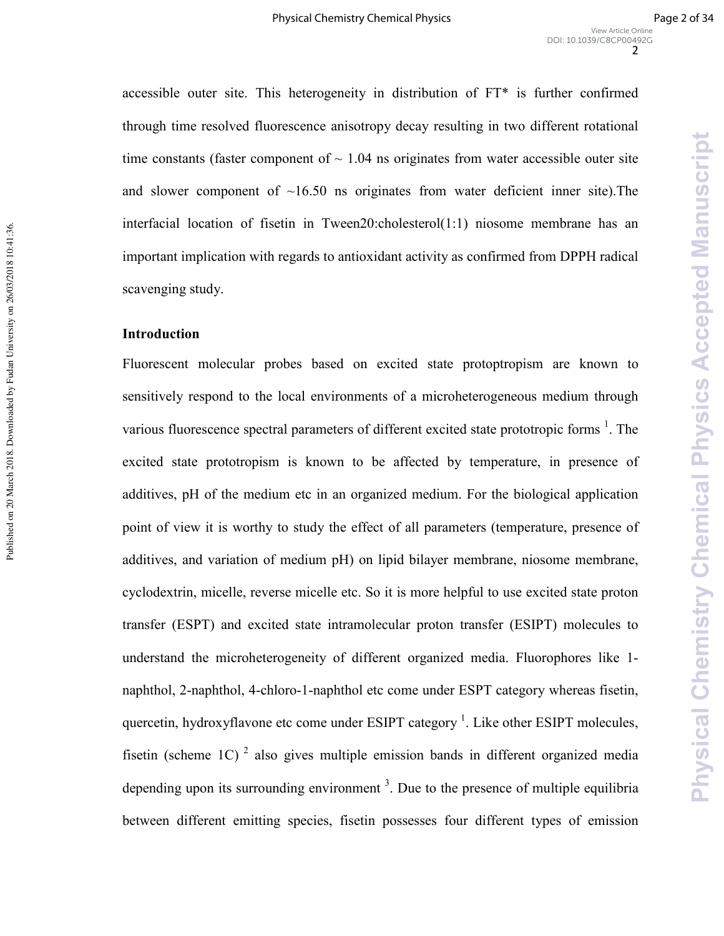Physical Chemistry Chemical Physics Accepted Manuscript

accessible outer site. This heterogeneity in distribution of FT\* is further confirmed through time resolved fluorescence anisotropy decay resulting in two different rotational time constants (faster component of  $\sim 1.04$  ns originates from water accessible outer site and slower component of  $\sim 16.50$  ns originates from water deficient inner site). The interfacial location of fisetin in Tween20:cholesterol(1:1) niosome membrane has an important implication with regards to antioxidant activity as confirmed from DPPH radical scavenging study.

#### **Introduction**

Fluorescent molecular probes based on excited state protoptropism are known to sensitively respond to the local environments of a microheterogeneous medium through various fluorescence spectral parameters of different excited state prototropic forms  $<sup>1</sup>$ . The</sup> excited state prototropism is known to be affected by temperature, in presence of additives, pH of the medium etc in an organized medium. For the biological application point of view it is worthy to study the effect of all parameters (temperature, presence of additives, and variation of medium pH) on lipid bilayer membrane, niosome membrane, cyclodextrin, micelle, reverse micelle etc. So it is more helpful to use excited state proton transfer (ESPT) and excited state intramolecular proton transfer (ESIPT) molecules to understand the microheterogeneity of different organized media. Fluorophores like 1) naphthol, 2-naphthol, 4-chloro-1-naphthol etc come under ESPT category whereas fisetin, quercetin, hydroxyflavone etc come under ESIPT category<sup>1</sup>. Like other ESIPT molecules, fisetin (scheme 1C)<sup>2</sup> also gives multiple emission bands in different organized media depending upon its surrounding environment  $3$ . Due to the presence of multiple equilibria between different emitting species, fisetin possesses four different types of emission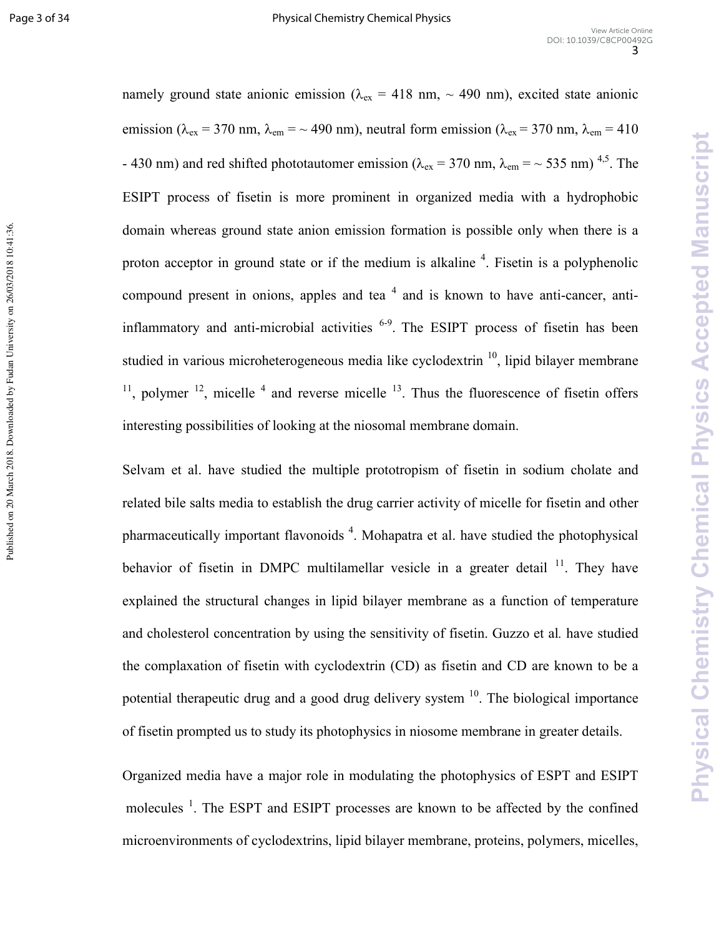**Physical Chemistry Chemical Physics Accepted Manuscript** 

namely ground state anionic emission ( $\lambda_{ex}$  = 418 nm, ~ 490 nm), excited state anionic emission ( $\lambda_{ex}$  = 370 nm,  $\lambda_{em}$  = ~ 490 nm), neutral form emission ( $\lambda_{ex}$  = 370 nm,  $\lambda_{em}$  = 410 - 430 nm) and red shifted phototautomer emission ( $\lambda_{ex}$  = 370 nm,  $\lambda_{em}$  = ~ 535 nm)<sup>4,5</sup>. The ESIPT process of fisetin is more prominent in organized media with a hydrophobic domain whereas ground state anion emission formation is possible only when there is a proton acceptor in ground state or if the medium is alkaline  $4$ . Fisetin is a polyphenolic compound present in onions, apples and tea  $4$  and is known to have anti-cancer, antiinflammatory and anti-microbial activities  $6-9$ . The ESIPT process of fisetin has been studied in various microheterogeneous media like cyclodextrin  $\frac{10}{10}$ , lipid bilayer membrane  $11$ , polymer  $12$ , micelle  $4$  and reverse micelle  $13$ . Thus the fluorescence of fisetin offers interesting possibilities of looking at the niosomal membrane domain.

Selvam et al. have studied the multiple prototropism of fisetin in sodium cholate and related bile salts media to establish the drug carrier activity of micelle for fisetin and other pharmaceutically important flavonoids<sup>4</sup>. Mohapatra et al. have studied the photophysical behavior of fisetin in DMPC multilamellar vesicle in a greater detail  $11$ . They have explained the structural changes in lipid bilayer membrane as a function of temperature and cholesterol concentration by using the sensitivity of fisetin. Guzzo et al*.* have studied the complaxation of fisetin with cyclodextrin (CD) as fisetin and CD are known to be a potential therapeutic drug and a good drug delivery system  $10$ . The biological importance of fisetin prompted us to study its photophysics in niosome membrane in greater details.

Organized media have a major role in modulating the photophysics of ESPT and ESIPT molecules<sup>1</sup>. The ESPT and ESIPT processes are known to be affected by the confined microenvironments of cyclodextrins, lipid bilayer membrane, proteins, polymers, micelles,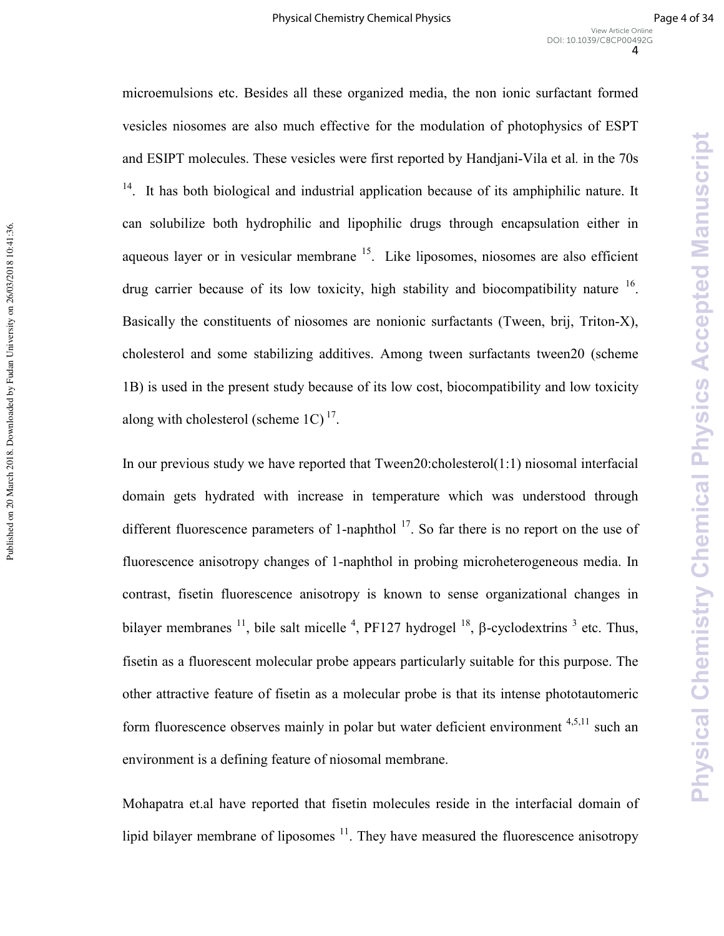microemulsions etc. Besides all these organized media, the non ionic surfactant formed vesicles niosomes are also much effective for the modulation of photophysics of ESPT and ESIPT molecules. These vesicles were first reported by Handjani-Vila et al. in the 70s <sup>14</sup>. It has both biological and industrial application because of its amphiphilic nature. It can solubilize both hydrophilic and lipophilic drugs through encapsulation either in aqueous layer or in vesicular membrane  $15$ . Like liposomes, niosomes are also efficient drug carrier because of its low toxicity, high stability and biocompatibility nature <sup>16</sup>. Basically the constituents of niosomes are nonionic surfactants (Tween, brij, Triton-X), cholesterol and some stabilizing additives. Among tween surfactants tween20 (scheme 1B) is used in the present study because of its low cost, biocompatibility and low toxicity along with cholesterol (scheme  $1C$ )<sup>17</sup>.

Published on 20 March 2018. Downloaded by Fudan University on 26/03/2018 10:41:36.

Published on 20 March 2018. Downloaded by Fudan University on 26/03/2018 10:41:36.

In our previous study we have reported that Tween20:cholesterol(1:1) niosomal interfacial domain gets hydrated with increase in temperature which was understood through different fluorescence parameters of 1-naphthol  $^{17}$ . So far there is no report on the use of fluorescence anisotropy changes of 1-naphthol in probing microheterogeneous media. In contrast, fisetin fluorescence anisotropy is known to sense organizational changes in bilayer membranes  $^{11}$ , bile salt micelle  $^{4}$ , PF127 hydrogel  $^{18}$ , β-cyclodextrins  $^{3}$  etc. Thus, fisetin as a fluorescent molecular probe appears particularly suitable for this purpose. The other attractive feature of fisetin as a molecular probe is that its intense phototautomeric form fluorescence observes mainly in polar but water deficient environment  $4,5,11$  such an environment is a defining feature of niosomal membrane.

Mohapatra et.al have reported that fisetin molecules reside in the interfacial domain of lipid bilayer membrane of liposomes  $<sup>11</sup>$ . They have measured the fluorescence anisotropy</sup>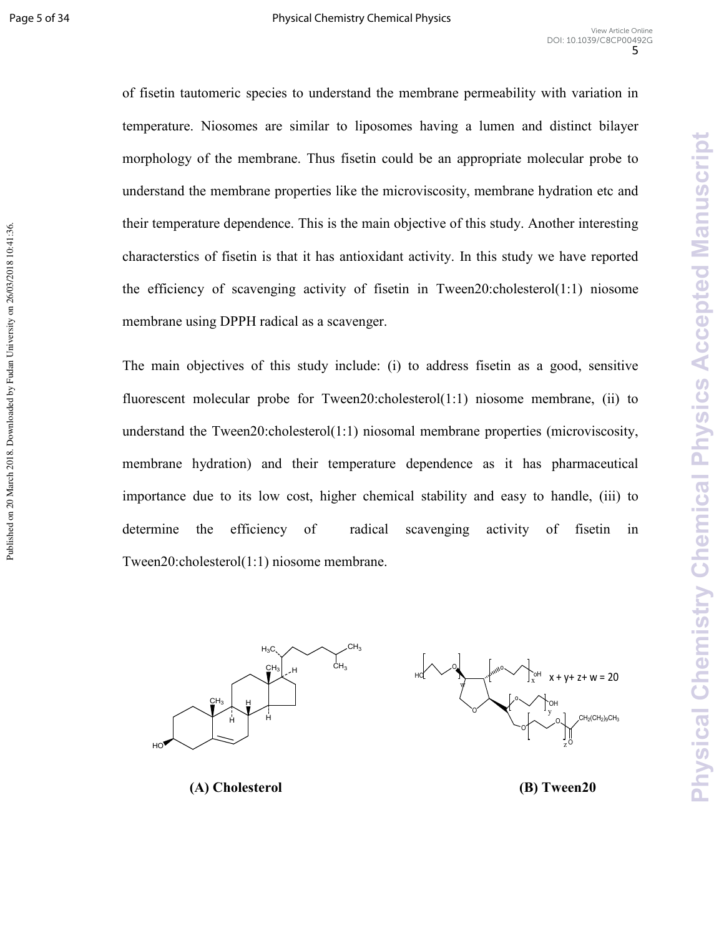Published on 20 March 2018. Downloaded by Fudan University on 26/03/2018 10:41:36

of fisetin tautomeric species to understand the membrane permeability with variation in temperature. Niosomes are similar to liposomes having a lumen and distinct bilayer morphology of the membrane. Thus fisetin could be an appropriate molecular probe to understand the membrane properties like the microviscosity, membrane hydration etc and their temperature dependence. This is the main objective of this study. Another interesting characterstics of fisetin is that it has antioxidant activity. In this study we have reported the efficiency of scavenging activity of fisetin in Tween20:cholesterol(1:1) niosome membrane using DPPH radical as a scavenger.

The main objectives of this study include: (i) to address fisetin as a good, sensitive fluorescent molecular probe for Tween20:cholesterol(1:1) niosome membrane, (ii) to understand the Tween20:cholesterol(1:1) niosomal membrane properties (microviscosity, membrane hydration) and their temperature dependence as it has pharmaceutical importance due to its low cost, higher chemical stability and easy to handle, (iii) to determine the efficiency of radical scavenging activity of fisetin in Tween20:cholesterol(1:1) niosome membrane.



**(A)** Cholester

**(B)** Tween20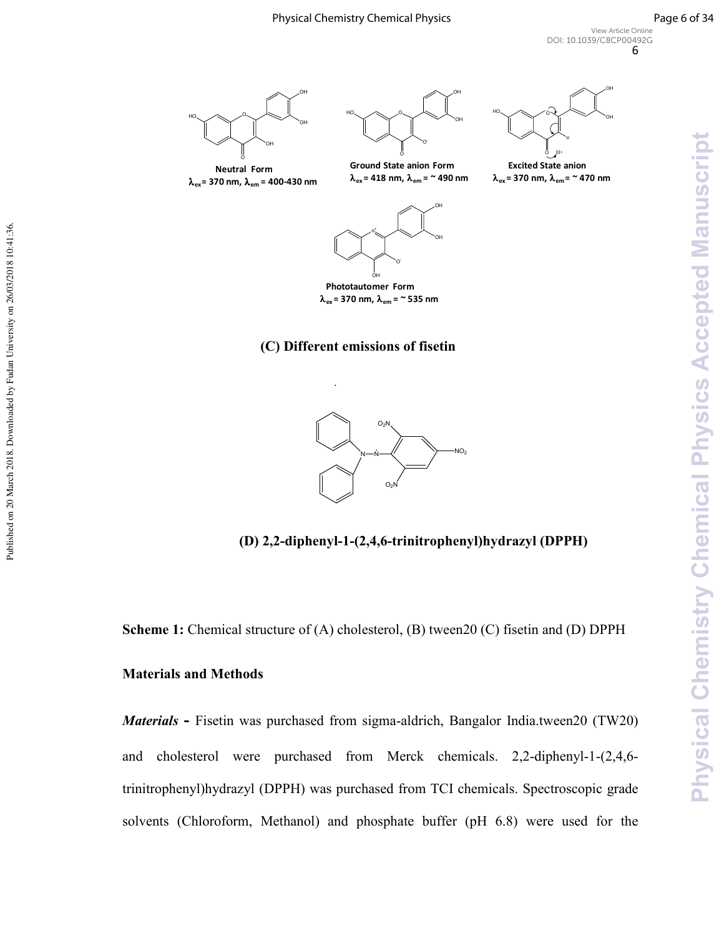**Physical Chemistry Chemical Physics Accepted Manuscript** 



λ**ex = 370 nm,** λ**em = 400-430 nm**

-0  $\circ$ H -HO . . . . . . HO **Ground State anion Form**

λ**ex = 418 nm,** λ**em = ~ 490 nm**

-H н



λ**ex = 370 nm,** λ**em= ~ 470 nm**



λ**ex = 370 nm,** λ**em = ~ 535 nm**

# **(C)** Different emissions of fisetin



**(D) 2,2-diphenyl-1-(2,4,6-trinitrophenyl)hydrazyl (DPPH)** 

**Scheme 1:** Chemical structure of (A) cholesterol, (B) tween20 (C) fisetin and (D) DPPH

# **Materials and Methods**

Materials - Fisetin was purchased from sigma-aldrich, Bangalor India.tween20 (TW20) and cholesterol were purchased from Merck chemicals.  $2,2$ -diphenyl-1- $(2,4,6$ trinitrophenyl)hydrazyl (DPPH) was purchased from TCI chemicals. Spectroscopic grade solvents (Chloroform, Methanol) and phosphate buffer (pH 6.8) were used for the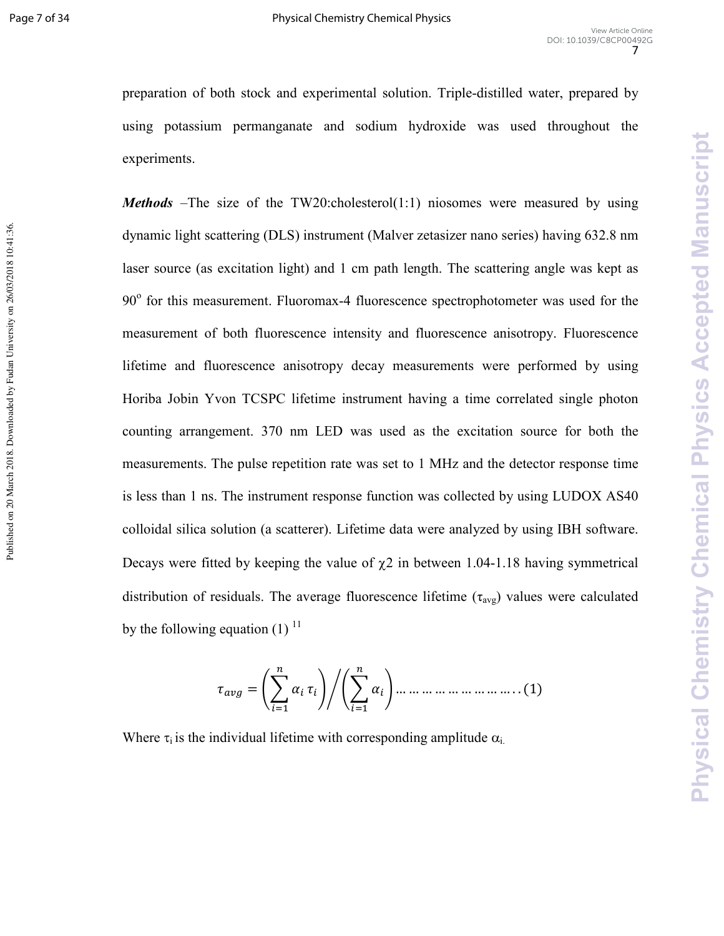Published on 20 March 2018. Downloaded by Fudan University on 26/03/2018 10:41:36.

preparation of both stock and experimental solution. Triple-distilled water, prepared by using potassium permanganate and sodium hydroxide was used throughout the experiments.

*Methods* –The size of the TW20:cholesterol(1:1) niosomes were measured by using dynamic light scattering (DLS) instrument (Malver zetasizer nano series) having 632.8 nm laser source (as excitation light) and 1 cm path length. The scattering angle was kept as 90° for this measurement. Fluoromax-4 fluorescence spectrophotometer was used for the measurement of both fluorescence intensity and fluorescence anisotropy. Fluorescence lifetime and fluorescence anisotropy decay measurements were performed by using Horiba Jobin Yvon TCSPC lifetime instrument having a time correlated single photon counting arrangement. 370 nm LED was used as the excitation source for both the measurements. The pulse repetition rate was set to 1 MHz and the detector response time is less than 1 ns. The instrument response function was collected by using LUDOX AS40 colloidal silica solution (a scatterer). Lifetime data were analyzed by using IBH software. Decays were fitted by keeping the value of  $\chi$ 2 in between 1.04-1.18 having symmetrical distribution of residuals. The average fluorescence lifetime  $(\tau_{avg})$  values were calculated by the following equation  $(1)$  <sup>11</sup>

- = … … … … … … … … … . . (1)

Where  $\tau_i$  is the individual lifetime with corresponding amplitude  $\alpha_i$ .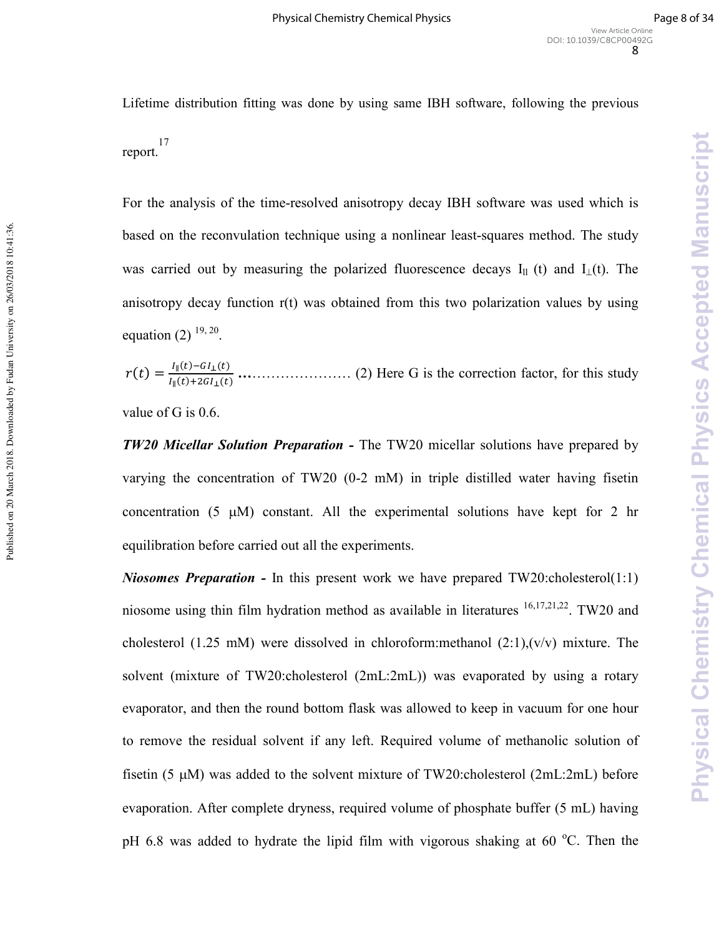**Physical Chemistry Chemical Physics Accepted Manuscript** 

Lifetime distribution fitting was done by using same IBH software, following the previous report. 17

For the analysis of the time-resolved anisotropy decay IBH software was used which is based on the reconvulation technique using a nonlinear least-squares method. The study was carried out by measuring the polarized fluorescence decays I<sub>ll</sub> (t) and I<sub>⊥</sub>(t). The anisotropy decay function r(t) was obtained from this two polarization values by using equation (2)  $^{19, 20}$ .

 $r(t) = \frac{I_{\parallel}(t) - GI_{\perp}(t)}{I_{\parallel}(t) + 2GI_{\perp}(t)}$ ∥ ()() **.**………………… (2) Here G is the correction factor, for this study

value of G is 0.6.

**TW20 Micellar Solution Preparation -** The TW20 micellar solutions have prepared by varying the concentration of TW20  $(0-2 \text{ mM})$  in triple distilled water having fisetin concentration (5  $\mu$ M) constant. All the experimental solutions have kept for 2 hr equilibration before carried out all the experiments.

*Niosomes Preparation -* In this present work we have prepared TW20:cholesterol(1:1) niosome using thin film hydration method as available in literatures  $16,17,21,22$ . TW20 and cholesterol (1.25 mM) were dissolved in chloroform:methanol  $(2.1)$ , $(v/v)$  mixture. The solvent (mixture of TW20:cholesterol (2mL:2mL)) was evaporated by using a rotary evaporator, and then the round bottom flask was allowed to keep in vacuum for one hour to remove the residual solvent if any left. Required volume of methanolic solution of fisetin (5  $\mu$ M) was added to the solvent mixture of TW20:cholesterol (2mL:2mL) before evaporation. After complete dryness, required volume of phosphate buffer (5 mL) having pH 6.8 was added to hydrate the lipid film with vigorous shaking at 60  $^{\circ}$ C. Then the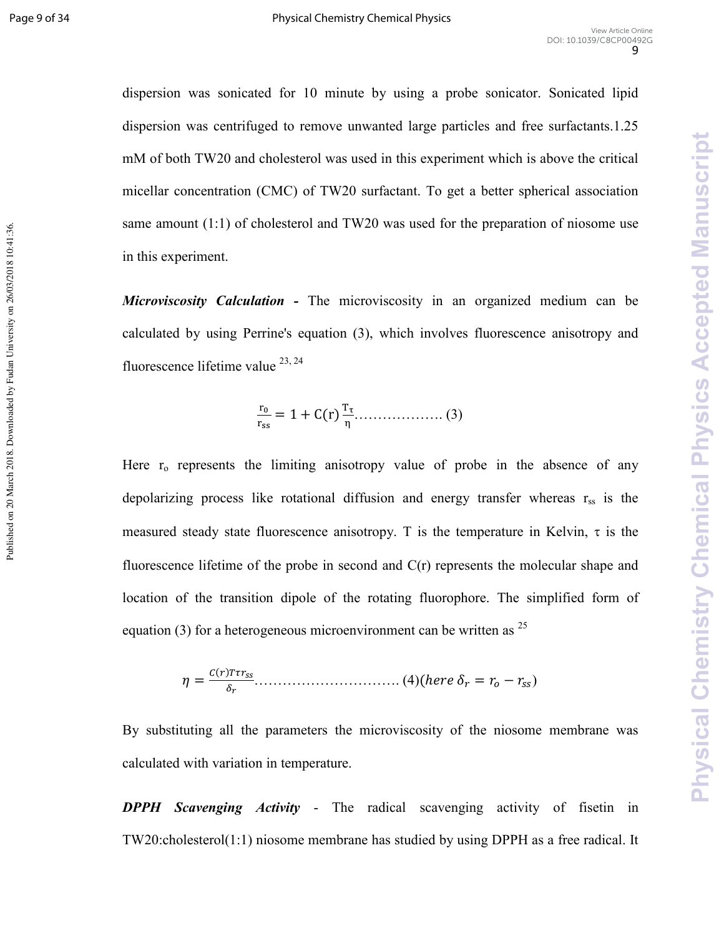**Physical Chemistry Chemical Physics Accepted Manuscript** 

dispersion was sonicated for 10 minute by using a probe sonicator. Sonicated lipid dispersion was centrifuged to remove unwanted large particles and free surfactants.1.25 mM of both TW20 and cholesterol was used in this experiment which is above the critical micellar concentration (CMC) of TW20 surfactant. To get a better spherical association same amount (1:1) of cholesterol and TW20 was used for the preparation of niosome use in this experiment.

*Microviscosity Calculation -* The microviscosity in an organized medium can be calculated by using Perrine's equation (3), which involves fluorescence anisotropy and fluorescence lifetime value  $^{23, 24}$ 

$$
\frac{r_0}{r_{ss}} = 1 + C(r) \frac{T_{\tau}}{\eta} \dots \dots \dots \dots \dots \dots \dots \dots (3)
$$

Here  $r_0$  represents the limiting anisotropy value of probe in the absence of any depolarizing process like rotational diffusion and energy transfer whereas  $r_{ss}$  is the measured steady state fluorescence anisotropy. T is the temperature in Kelvin,  $\tau$  is the fluorescence lifetime of the probe in second and C(r) represents the molecular shape and location of the transition dipole of the rotating fluorophore. The simplified form of equation (3) for a heterogeneous microenvironment can be written as  $^{25}$ 

 ( = )(\*)+,\*-- ./ …………………………. (4)(ℎ11 2\* = <sup>3</sup> − 55)

By substituting all the parameters the microviscosity of the niosome membrane was calculated with variation in temperature.

**DPPH Scavenging Activity -** The radical scavenging activity of fisetin in TW20:cholesterol(1:1) niosome membrane has studied by using DPPH as a free radical. It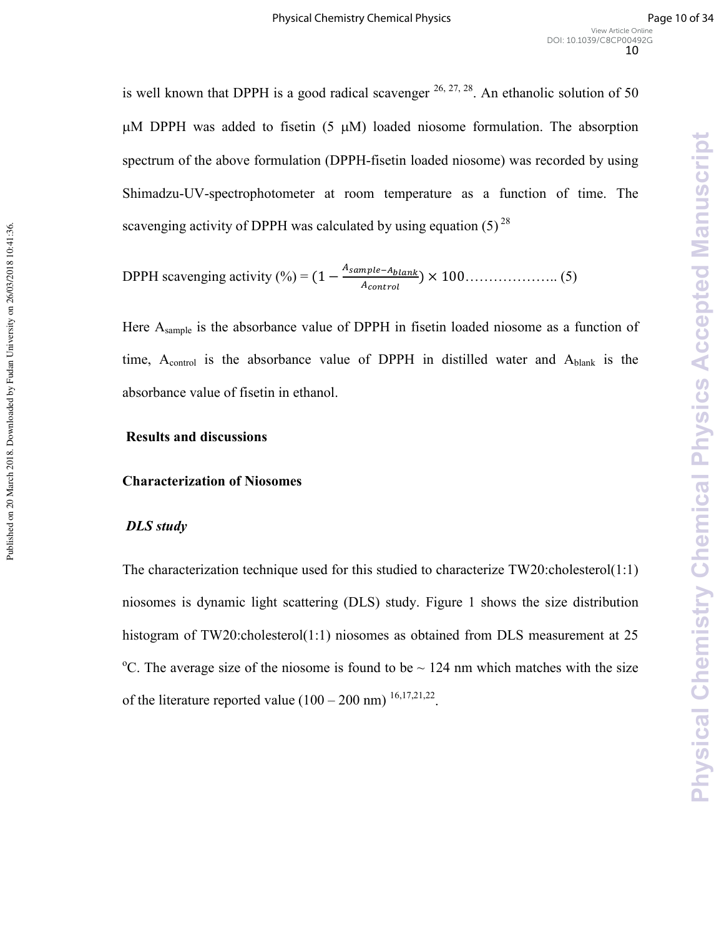is well known that DPPH is a good radical scavenger  $^{26, 27, 28}$ . An ethanolic solution of 50  $\mu$ M DPPH was added to fisetin (5  $\mu$ M) loaded niosome formulation. The absorption spectrum of the above formulation (DPPH-fisetin loaded niosome) was recorded by using Shimadzu-UV-spectrophotometer at room temperature as a function of time. The scavenging activity of DPPH was calculated by using equation  $(5)^{28}$ 

DPPH scavenging activity (%) =  $(1 - \frac{A_{sample - A_{blank}}}{A_{current}})$ 6AB?C/B: ) × 100……………….. (5)

Here Asample is the absorbance value of DPPH in fisetin loaded niosome as a function of time,  $A_{control}$  is the absorbance value of DPPH in distilled water and  $A_{blank}$  is the absorbance value of fisetin in ethanol.

#### **Results and discussions**

#### **Characterization of Niosomes**

### DLS study

The characterization technique used for this studied to characterize TW20:cholesterol(1:1) niosomes is dynamic light scattering (DLS) study. Figure 1 shows the size distribution histogram of TW20:cholesterol(1:1) niosomes as obtained from DLS measurement at 25 <sup>o</sup>C. The average size of the niosome is found to be  $\sim$  124 nm which matches with the size of the literature reported value  $(100 - 200 \text{ nm})$  <sup>16,17,21,22</sup>.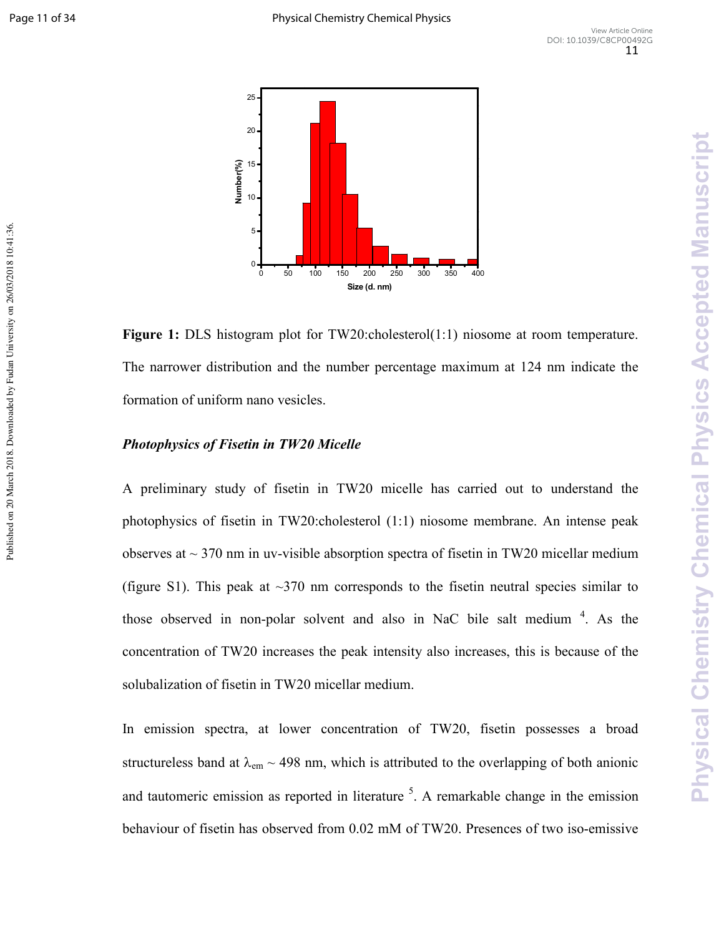Published on 20 March 2018. Downloaded by Fudan University on 26/03/2018 10:41:36.



**Figure 1:** DLS histogram plot for TW20:cholesterol(1:1) niosome at room temperature. The narrower distribution and the number percentage maximum at 124 nm indicate the formation of uniform nano vesicles.

### **Photophysics of Fisetin in TW20 Micelle**

A preliminary study of fisetin in TW20 micelle has carried out to understand the photophysics of fisetin in TW20:cholesterol (1:1) niosome membrane. An intense peak observes at  $\sim$  370 nm in uv-visible absorption spectra of fisetin in TW20 micellar medium (figure S1). This peak at  $\sim$ 370 nm corresponds to the fisetin neutral species similar to those observed in non-polar solvent and also in NaC bile salt medium  $4$ . As the concentration of TW20 increases the peak intensity also increases, this is because of the solubalization of fisetin in TW20 micellar medium.

In emission spectra, at lower concentration of TW20, fisetin possesses a broad structureless band at  $\lambda_{em}$  ~ 498 nm, which is attributed to the overlapping of both anionic and tautomeric emission as reported in literature  $5$ . A remarkable change in the emission behaviour of fisetin has observed from  $0.02 \text{ mM}$  of TW20. Presences of two iso-emissive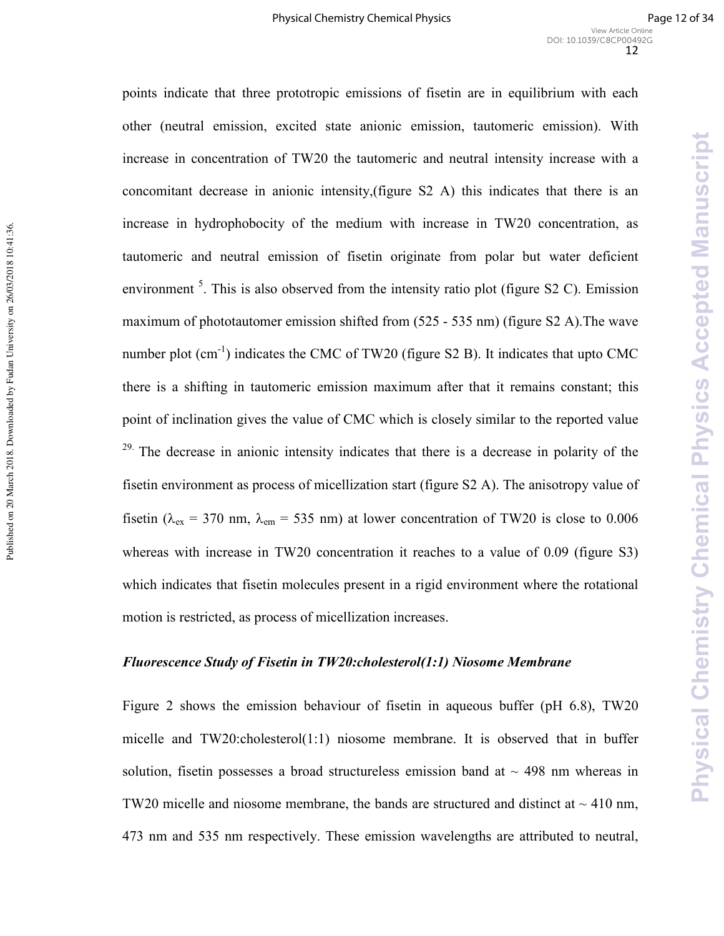points indicate that three prototropic emissions of fisetin are in equilibrium with each other (neutral emission, excited state anionic emission, tautomeric emission). With increase in concentration of TW20 the tautomeric and neutral intensity increase with a concomitant decrease in anionic intensity,(figure S2 A) this indicates that there is an increase in hydrophobocity of the medium with increase in TW20 concentration, as tautomeric and neutral emission of fisetin originate from polar but water deficient environment  $<sup>5</sup>$ . This is also observed from the intensity ratio plot (figure S2 C). Emission</sup> maximum of phototautomer emission shifted from  $(525 - 535 \text{ nm})$  (figure S2 A). The wave number plot  $(cm^{-1})$  indicates the CMC of TW20 (figure S2 B). It indicates that upto CMC there is a shifting in tautomeric emission maximum after that it remains constant; this point of inclination gives the value of CMC which is closely similar to the reported value <sup>29.</sup> The decrease in anionic intensity indicates that there is a decrease in polarity of the fisetin environment as process of micellization start (figure S2 A). The anisotropy value of fisetin ( $\lambda_{\text{ex}}$  = 370 nm,  $\lambda_{\text{em}}$  = 535 nm) at lower concentration of TW20 is close to 0.006 whereas with increase in TW20 concentration it reaches to a value of 0.09 (figure S3) which indicates that fisetin molecules present in a rigid environment where the rotational motion is restricted, as process of micellization increases.

Published on 20 March 2018. Downloaded by Fudan University on 26/03/2018 10:41:36.

Published on 20 March 2018. Downloaded by Fudan University on 26/03/2018 10:41:36.

#### *Fluorescence Study of Fisetin in TW20:cholesterol(1:1) Niosome Membrane*

Figure 2 shows the emission behaviour of fisetin in aqueous buffer (pH 6.8), TW20 micelle and TW20:cholesterol(1:1) niosome membrane. It is observed that in buffer solution, fisetin possesses a broad structureless emission band at  $\sim$  498 nm whereas in TW20 micelle and niosome membrane, the bands are structured and distinct at  $\sim$  410 nm, 473 nm and 535 nm respectively. These emission wavelengths are attributed to neutral,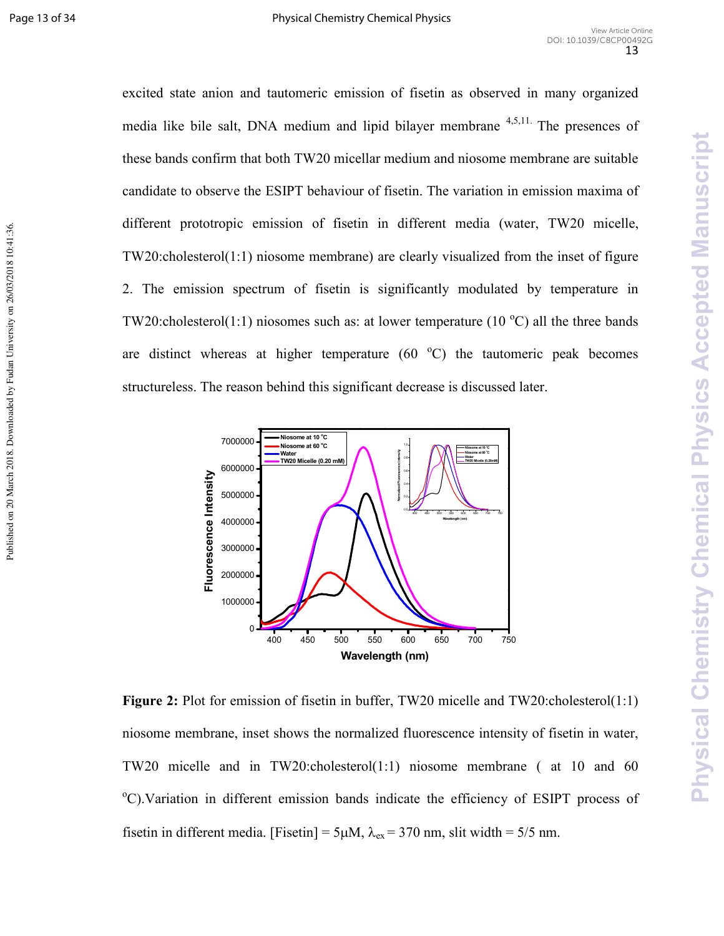Published on 20 March 2018. Downloaded by Fudan University on 26/03/2018 10:41:36.

excited state anion and tautomeric emission of fisetin as observed in many organized media like bile salt, DNA medium and lipid bilayer membrane  $4,5,11$ . The presences of these bands confirm that both TW20 micellar medium and niosome membrane are suitable candidate to observe the ESIPT behaviour of fisetin. The variation in emission maxima of different prototropic emission of fisetin in different media (water, TW20 micelle, TW20:cholesterol(1:1) niosome membrane) are clearly visualized from the inset of figure 2. The emission spectrum of fisetin is significantly modulated by temperature in TW20:cholesterol(1:1) niosomes such as: at lower temperature (10  $^{\circ}$ C) all the three bands are distinct whereas at higher temperature  $(60<sup>o</sup>C)$  the tautomeric peak becomes structureless. The reason behind this significant decrease is discussed later.



**Figure 2:** Plot for emission of fisetin in buffer, TW20 micelle and TW20:cholesterol(1:1) niosome membrane, inset shows the normalized fluorescence intensity of fisetin in water, TW20 micelle and in TW20:cholesterol(1:1) niosome membrane ( at 10 and 60 <sup>o</sup>C). Variation in different emission bands indicate the efficiency of ESIPT process of fisetin in different media. [Fisetin] =  $5\mu$ M,  $\lambda_{ex}$  = 370 nm, slit width = 5/5 nm.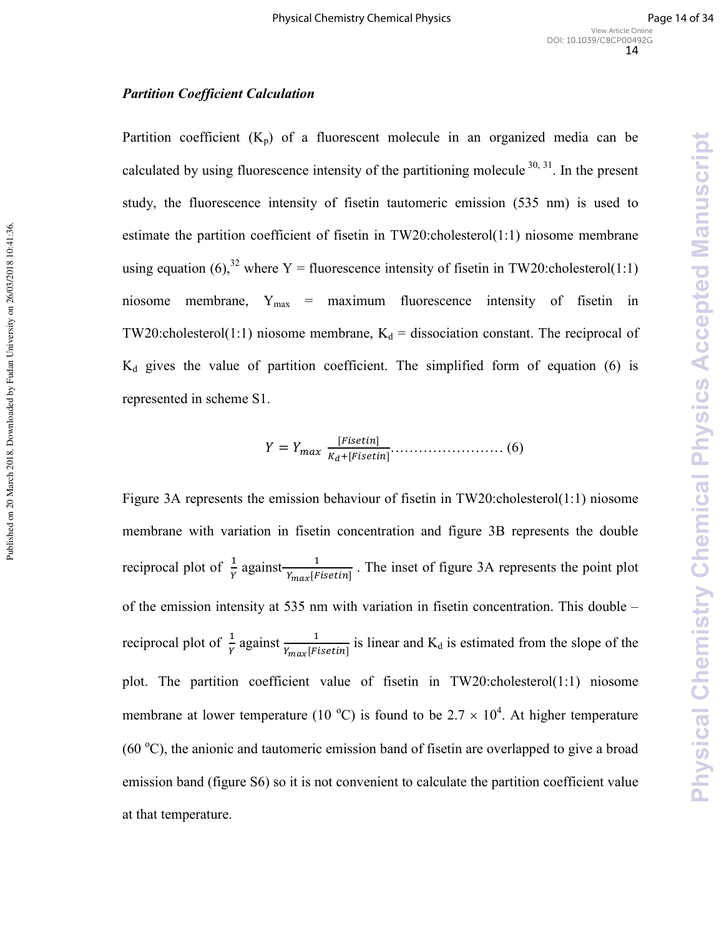#### **Partition Coefficient Calculation**

Published on 20 March 2018. Downloaded by Fudan University on 26/03/2018 10:41:36.

Published on 20 March 2018. Downloaded by Fudan University on 26/03/2018 10:41:36.

Partition coefficient  $(K_p)$  of a fluorescent molecule in an organized media can be calculated by using fluorescence intensity of the partitioning molecule  $30, 31$ . In the present study, the fluorescence intensity of fisetin tautomeric emission (535 nm) is used to estimate the partition coefficient of fisetin in  $TW20$ :cholesterol $(1:1)$  niosome membrane using equation (6),<sup>32</sup> where Y = fluorescence intensity of fisetin in TW20:cholesterol(1:1) niosome membrane,  $Y_{\text{max}}$  = maximum fluorescence intensity of fisetin in TW20:cholesterol(1:1) niosome membrane,  $K_d$  = dissociation constant. The reciprocal of  $K_d$  gives the value of partition coefficient. The simplified form of equation (6) is represented in scheme S1.

$$
Y = Y_{max} \frac{[Fisetin]}{K_d + [Fisetin]} \dots \dots \dots \dots \dots \dots \dots \tag{6}
$$

Figure 3A represents the emission behaviour of fisetin in TW20:cholesterol(1:1) niosome membrane with variation in fisetin concentration and figure 3B represents the double reciprocal plot of  $\frac{1}{Y}$  against  $\frac{1}{Y_{max}$ [*Fisetin*]</sub>. The inset of figure 3A represents the point plot of the emission intensity at 535 nm with variation in fisetin concentration. This double – reciprocal plot of  $\frac{1}{\gamma}$  against  $\frac{1}{Y_{max} [F_{isetin}]}$  is linear and  $K_d$  is estimated from the slope of the plot. The partition coefficient value of fisetin in TW20:cholesterol(1:1) niosome membrane at lower temperature (10 °C) is found to be 2.7  $\times$  10<sup>4</sup>. At higher temperature (60  $^{\circ}$ C), the anionic and tautomeric emission band of fisetin are overlapped to give a broad emission band (figure S6) so it is not convenient to calculate the partition coefficient value at that temperature.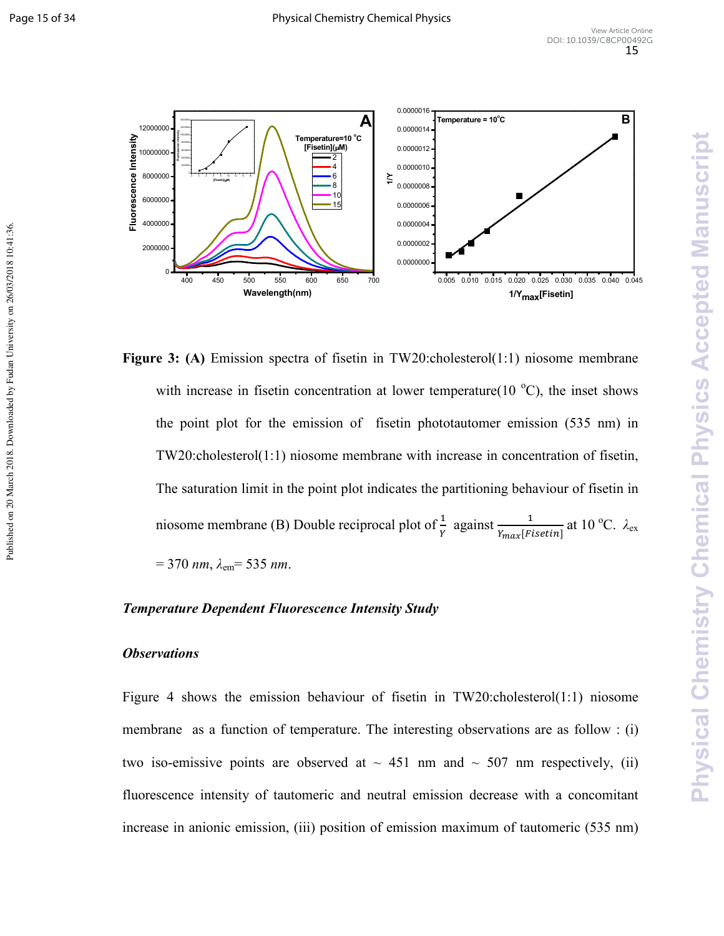Published on 20 March 2018. Downloaded by Fudan University on 26/03/2018 10:41:36



**Figure 3:** (A) Emission spectra of fisetin in TW20:cholesterol(1:1) niosome membrane with increase in fisetin concentration at lower temperature(10  $^{\circ}$ C), the inset shows the point plot for the emission of fisetin phototautomer emission (535 nm) in TW20:cholesterol(1:1) niosome membrane with increase in concentration of fisetin, The saturation limit in the point plot indicates the partitioning behaviour of fisetin in niosome membrane (B) Double reciprocal plot of  $\frac{1}{Y}$  against  $\frac{1}{Y_{max} [Fisetin]}$  at 10 °C.  $\lambda_{ex}$  $= 370$  *nm*,  $\lambda_{\text{em}} = 535$  *nm*.

# **Temperature Dependent Fluorescence Intensity Study**

# *Observations*

Figure 4 shows the emission behaviour of fisetin in TW20:cholesterol(1:1) niosome membrane as a function of temperature. The interesting observations are as follow : (i) two iso-emissive points are observed at  $\sim$  451 nm and  $\sim$  507 nm respectively, (ii) fluorescence intensity of tautomeric and neutral emission decrease with a concomitant increase in anionic emission, (iii) position of emission maximum of tautomeric (535 nm)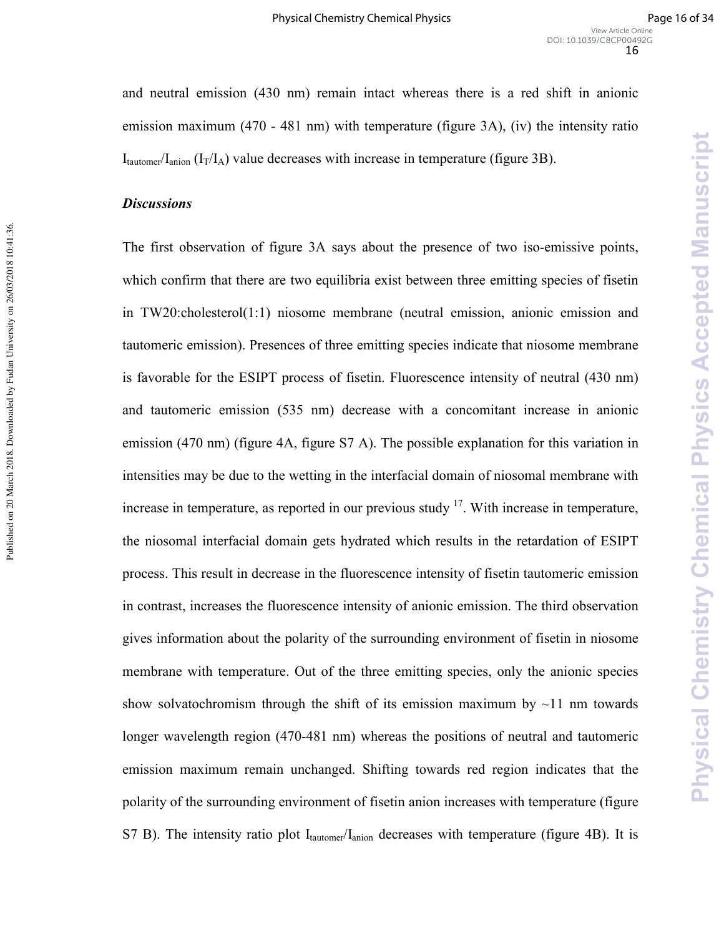and neutral emission (430 nm) remain intact whereas there is a red shift in anionic emission maximum (470 - 481 nm) with temperature (figure 3A), (iv) the intensity ratio  $I_{\text{tautomer}}/I_{\text{anion}}$  ( $I_{\text{T}}/I_{\text{A}}$ ) value decreases with increase in temperature (figure 3B).

#### **Discussions**

Published on 20 March 2018. Downloaded by Fudan University on 26/03/2018 10:41:36.

Published on 20 March 2018. Downloaded by Fudan University on 26/03/2018 10:41:36.

The first observation of figure 3A says about the presence of two iso-emissive points, which confirm that there are two equilibria exist between three emitting species of fisetin in TW20:cholesterol(1:1) niosome membrane (neutral emission, anionic emission and tautomeric emission). Presences of three emitting species indicate that niosome membrane is favorable for the ESIPT process of fisetin. Fluorescence intensity of neutral (430 nm) and tautomeric emission (535 nm) decrease with a concomitant increase in anionic emission (470 nm) (figure 4A, figure S7 A). The possible explanation for this variation in intensities may be due to the wetting in the interfacial domain of niosomal membrane with increase in temperature, as reported in our previous study  $17$ . With increase in temperature, the niosomal interfacial domain gets hydrated which results in the retardation of ESIPT process. This result in decrease in the fluorescence intensity of fisetin tautomeric emission in contrast, increases the fluorescence intensity of anionic emission. The third observation gives information about the polarity of the surrounding environment of fisetin in niosome membrane with temperature. Out of the three emitting species, only the anionic species show solvatochromism through the shift of its emission maximum by  $\sim$ 11 nm towards longer wavelength region (470-481 nm) whereas the positions of neutral and tautomeric emission maximum remain unchanged. Shifting towards red region indicates that the polarity of the surrounding environment of fisetin anion increases with temperature (figure S7 B). The intensity ratio plot  $I_{\text{tautomer}}/I_{\text{anion}}$  decreases with temperature (figure 4B). It is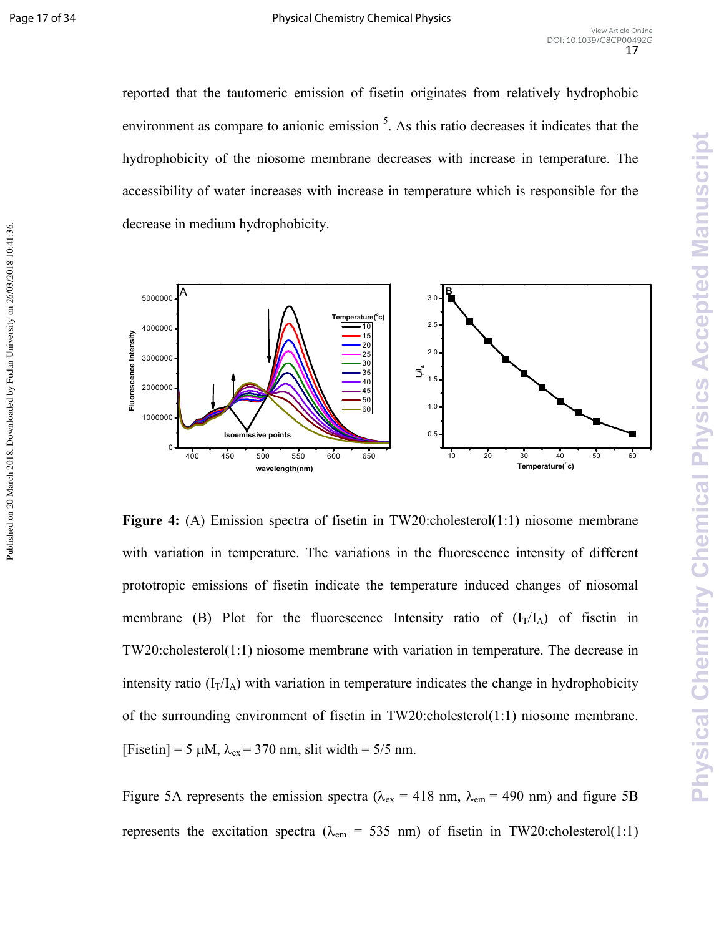Published on 20 March 2018. Downloaded by Fudan University on 26/03/2018 10:41:36.

reported that the tautomeric emission of fisetin originates from relatively hydrophobic environment as compare to anionic emission<sup>5</sup>. As this ratio decreases it indicates that the hydrophobicity of the niosome membrane decreases with increase in temperature. The accessibility of water increases with increase in temperature which is responsible for the decrease in medium hydrophobicity.



**Figure 4:** (A) Emission spectra of fisetin in TW20:cholesterol(1:1) niosome membrane with variation in temperature. The variations in the fluorescence intensity of different prototropic emissions of fisetin indicate the temperature induced changes of niosomal membrane (B) Plot for the fluorescence Intensity ratio of  $(I_T/I_A)$  of fisetin in TW20:cholesterol(1:1) niosome membrane with variation in temperature. The decrease in intensity ratio  $(I_T/I_A)$  with variation in temperature indicates the change in hydrophobicity of the surrounding environment of fisetin in TW20:cholesterol(1:1) niosome membrane. [Fisetin] = 5  $\mu$ M,  $\lambda_{ex}$  = 370 nm, slit width = 5/5 nm.

Figure 5A represents the emission spectra ( $\lambda_{\text{ex}}$  = 418 nm,  $\lambda_{\text{em}}$  = 490 nm) and figure 5B represents the excitation spectra ( $\lambda_{\rm em}$  = 535 nm) of fisetin in TW20:cholesterol(1:1)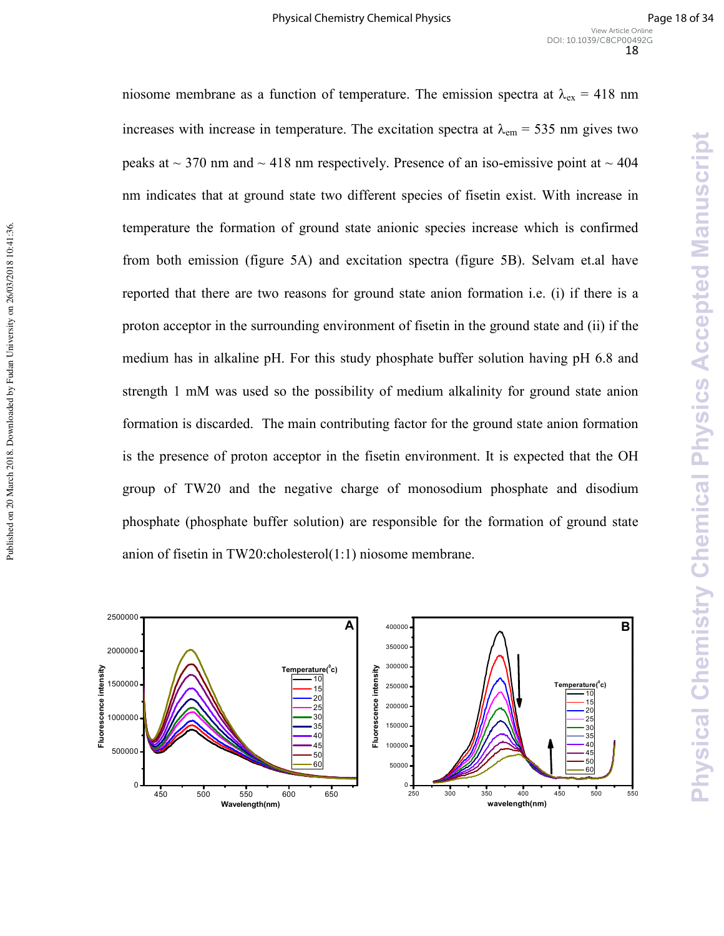niosome membrane as a function of temperature. The emission spectra at  $\lambda_{ex} = 418$  nm increases with increase in temperature. The excitation spectra at  $\lambda_{em}$  = 535 nm gives two peaks at  $\sim$  370 nm and  $\sim$  418 nm respectively. Presence of an iso-emissive point at  $\sim$  404 nm indicates that at ground state two different species of fisetin exist. With increase in temperature the formation of ground state anionic species increase which is confirmed from both emission (figure 5A) and excitation spectra (figure 5B). Selvam et.al have reported that there are two reasons for ground state anion formation i.e. (i) if there is a proton acceptor in the surrounding environment of fisetin in the ground state and (ii) if the medium has in alkaline pH. For this study phosphate buffer solution having pH 6.8 and strength 1 mM was used so the possibility of medium alkalinity for ground state anion formation is discarded. The main contributing factor for the ground state anion formation is the presence of proton acceptor in the fisetin environment. It is expected that the OH group of TW20 and the negative charge of monosodium phosphate and disodium phosphate (phosphate buffer solution) are responsible for the formation of ground state anion of fisetin in TW20:cholesterol(1:1) niosome membrane.

Published on 20 March 2018. Downloaded by Fudan University on 26/03/2018 10:41:36.

Published on 20 March 2018. Downloaded by Fudan University on 26/03/2018 10:41:36.

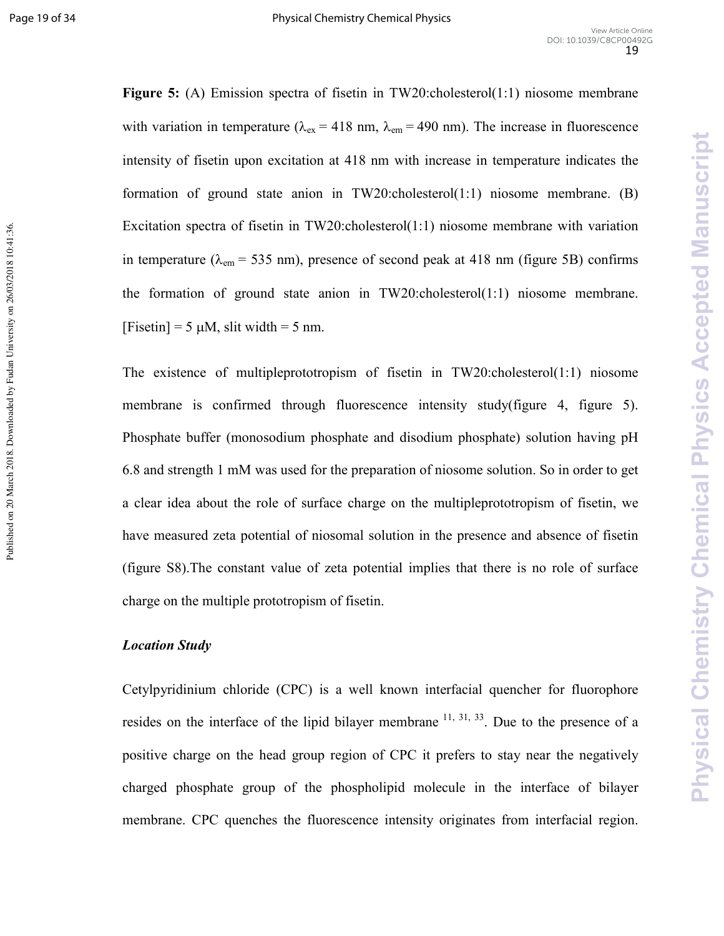Published on 20 March 2018. Downloaded by Fudan University on 26/03/2018 10:41:36.

**Figure 5:** (A) Emission spectra of fisetin in TW20:cholesterol(1:1) niosome membrane with variation in temperature ( $\lambda_{ex}$  = 418 nm,  $\lambda_{em}$  = 490 nm). The increase in fluorescence intensity of fisetin upon excitation at 418 nm with increase in temperature indicates the formation of ground state anion in  $TW20$ :cholesterol(1:1) niosome membrane. (B) Excitation spectra of fisetin in TW20:cholesterol(1:1) niosome membrane with variation in temperature ( $\lambda_{em}$  = 535 nm), presence of second peak at 418 nm (figure 5B) confirms the formation of ground state anion in TW20:cholesterol(1:1) niosome membrane. [Fisetin] =  $5 \mu M$ , slit width =  $5 \text{ nm}$ .

The existence of multipleprototropism of fisetin in  $TW20$ :cholesterol(1:1) niosome membrane is confirmed through fluorescence intensity study(figure 4, figure 5). Phosphate buffer (monosodium phosphate and disodium phosphate) solution having pH 6.8 and strength 1 mM was used for the preparation of niosome solution. So in order to get a clear idea about the role of surface charge on the multipleprototropism of fisetin, we have measured zeta potential of niosomal solution in the presence and absence of fisetin (figure S8).The constant value of zeta potential implies that there is no role of surface charge on the multiple prototropism of fisetin.

# *Location Study*

Cetylpyridinium chloride (CPC) is a well known interfacial quencher for fluorophore resides on the interface of the lipid bilayer membrane  $^{11, 31, 33}$ . Due to the presence of a positive charge on the head group region of CPC it prefers to stay near the negatively charged phosphate group of the phospholipid molecule in the interface of bilayer membrane. CPC quenches the fluorescence intensity originates from interfacial region.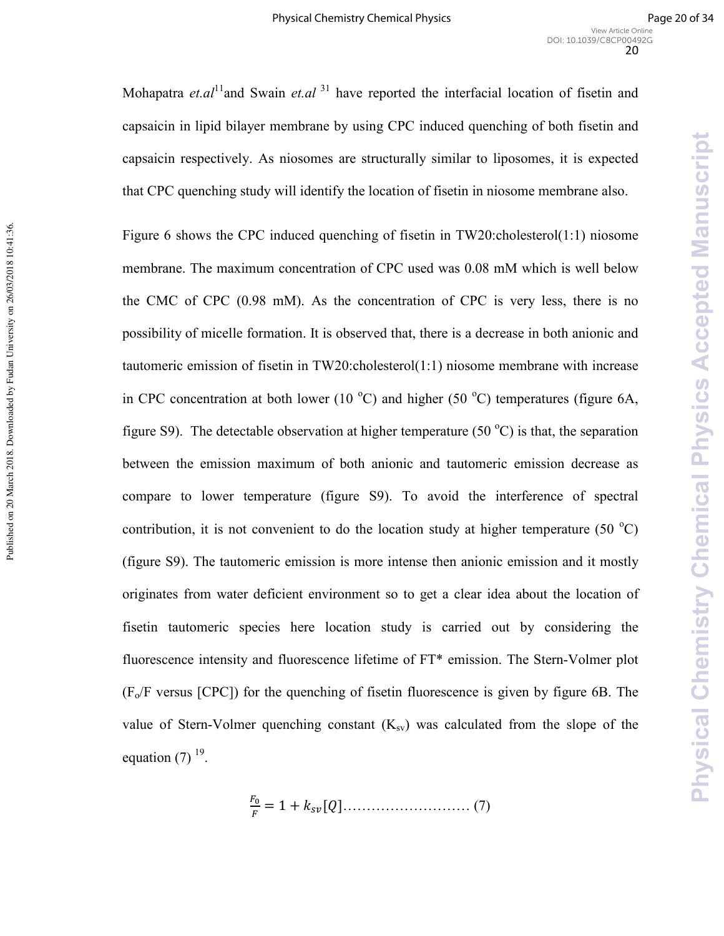Mohapatra *et.al*<sup>11</sup>and Swain *et.al*<sup>31</sup> have reported the interfacial location of fisetin and capsaicin in lipid bilayer membrane by using CPC induced quenching of both fisetin and capsaicin respectively. As niosomes are structurally similar to liposomes, it is expected that CPC quenching study will identify the location of fisetin in niosome membrane also.

Figure 6 shows the CPC induced quenching of fisetin in TW20:cholesterol(1:1) niosome membrane. The maximum concentration of CPC used was 0.08 mM which is well below the CMC of CPC (0.98 mM). As the concentration of CPC is very less, there is no possibility of micelle formation. It is observed that, there is a decrease in both anionic and tautomeric emission of fisetin in TW20:cholesterol(1:1) niosome membrane with increase in CPC concentration at both lower (10  $^{\circ}$ C) and higher (50  $^{\circ}$ C) temperatures (figure 6A, figure S9). The detectable observation at higher temperature (50  $^{\circ}$ C) is that, the separation between the emission maximum of both anionic and tautomeric emission decrease as compare to lower temperature (figure S9). To avoid the interference of spectral contribution, it is not convenient to do the location study at higher temperature (50  $^{\circ}$ C) (figure S9). The tautomeric emission is more intense then anionic emission and it mostly originates from water deficient environment so to get a clear idea about the location of fisetin tautomeric species here location study is carried out by considering the fluorescence intensity and fluorescence lifetime of  $FT*$  emission. The Stern-Volmer plot  $(F_0/F$  versus  $[CPC]$ ) for the quenching of fisetin fluorescence is given by figure 6B. The value of Stern-Volmer quenching constant  $(K_{\rm sv})$  was calculated from the slope of the equation  $(7)$  <sup>19</sup>.

Published on 20 March 2018. Downloaded by Fudan University on 26/03/2018 10:41:36.

Published on 20 March 2018. Downloaded by Fudan University on 26/03/2018 10:41:36.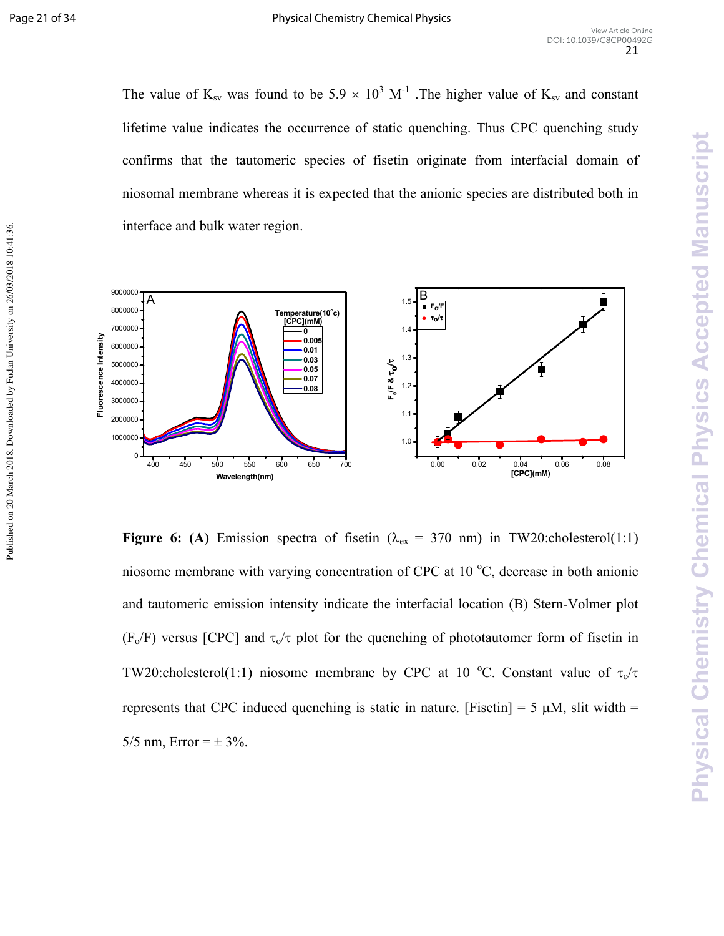Published on 20 March 2018. Downloaded by Fudan University on 26/03/2018 10:41:36.

The value of  $K_{sv}$  was found to be 5.9  $\times$  10<sup>3</sup> M<sup>-1</sup>. The higher value of  $K_{sv}$  and constant lifetime value indicates the occurrence of static quenching. Thus CPC quenching study confirms that the tautomeric species of fisetin originate from interfacial domain of niosomal membrane whereas it is expected that the anionic species are distributed both in interface and bulk water region.



**Figure 6:** (A) Emission spectra of fisetin ( $\lambda_{ex} = 370$  nm) in TW20:cholesterol(1:1) niosome membrane with varying concentration of CPC at  $10^{\circ}$ C, decrease in both anionic and tautomeric emission intensity indicate the interfacial location (B) Stern-Volmer plot (F<sub>o</sub>/F) versus [CPC] and  $\tau_0/\tau$  plot for the quenching of phototautomer form of fisetin in TW20:cholesterol(1:1) niosome membrane by CPC at 10 °C. Constant value of  $\tau_o/\tau$ represents that CPC induced quenching is static in nature. [Fisetin] = 5  $\mu$ M, slit width = 5/5 nm,  $Error = \pm 3\%$ .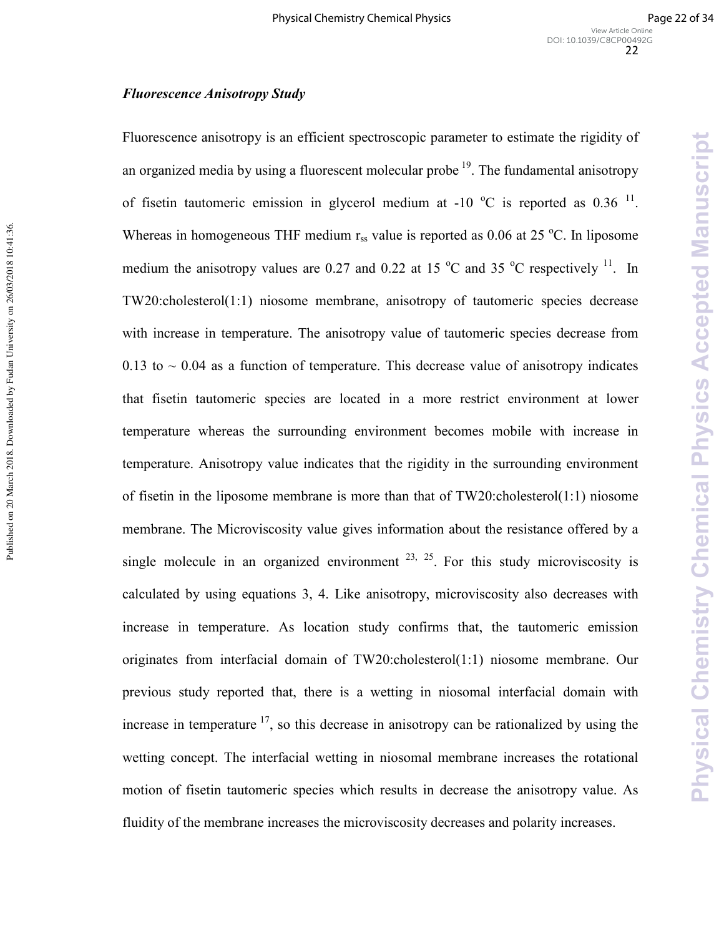Physical Chemistry Chemical Physics Accepted Manuscript

# **Fluorescence Anisotropy Study**

Fluorescence anisotropy is an efficient spectroscopic parameter to estimate the rigidity of an organized media by using a fluorescent molecular probe  $19$ . The fundamental anisotropy of fisetin tautomeric emission in glycerol medium at -10  $^{\circ}$ C is reported as 0.36 <sup>11</sup>. Whereas in homogeneous THF medium  $r_{ss}$  value is reported as 0.06 at 25 °C. In liposome medium the anisotropy values are 0.27 and 0.22 at 15  $^{\circ}$ C and 35  $^{\circ}$ C respectively <sup>11</sup>. In TW20:cholesterol(1:1) niosome membrane, anisotropy of tautomeric species decrease with increase in temperature. The anisotropy value of tautomeric species decrease from 0.13 to  $\sim$  0.04 as a function of temperature. This decrease value of anisotropy indicates that fisetin tautomeric species are located in a more restrict environment at lower temperature whereas the surrounding environment becomes mobile with increase in temperature. Anisotropy value indicates that the rigidity in the surrounding environment of fisetin in the liposome membrane is more than that of TW20:cholesterol(1:1) niosome membrane. The Microviscosity value gives information about the resistance offered by a single molecule in an organized environment  $23, 25$ . For this study microviscosity is calculated by using equations 3, 4. Like anisotropy, microviscosity also decreases with increase in temperature. As location study confirms that, the tautomeric emission originates from interfacial domain of TW20:cholesterol(1:1) niosome membrane. Our previous study reported that, there is a wetting in niosomal interfacial domain with increase in temperature<sup>17</sup>, so this decrease in anisotropy can be rationalized by using the wetting concept. The interfacial wetting in niosomal membrane increases the rotational motion of fisetin tautomeric species which results in decrease the anisotropy value. As fluidity of the membrane increases the microviscosity decreases and polarity increases.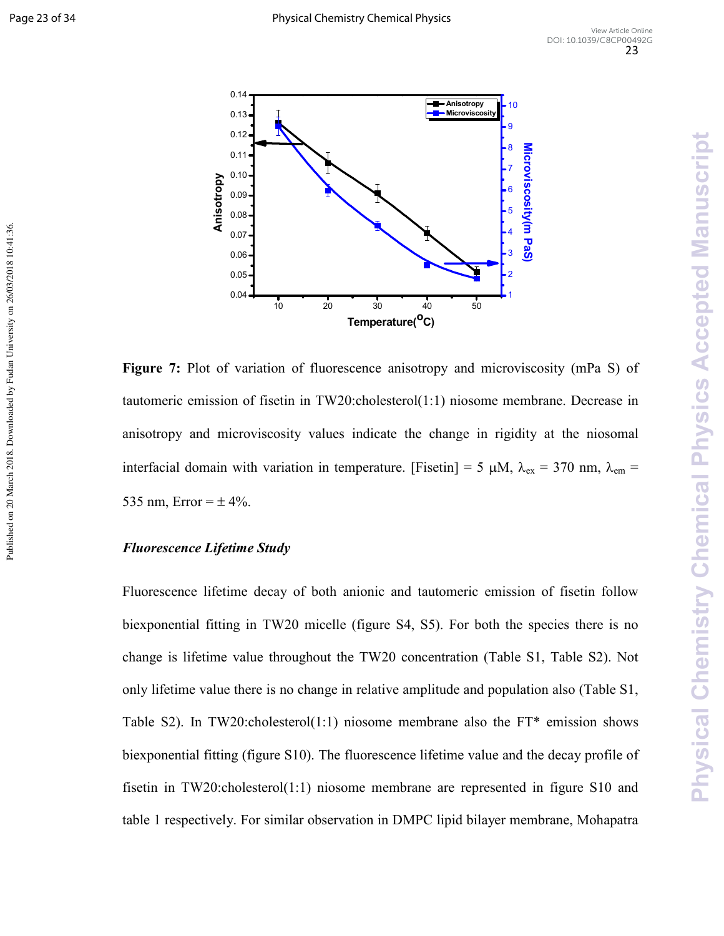Published on 20 March 2018. Downloaded by Fudan University on 26/03/2018 10:41:36



**Figure 7:** Plot of variation of fluorescence anisotropy and microviscosity (mPa S) of tautomeric emission of fisetin in TW20:cholesterol(1:1) niosome membrane. Decrease in anisotropy and microviscosity values indicate the change in rigidity at the niosomal interfacial domain with variation in temperature. [Fisetin] = 5  $\mu$ M,  $\lambda_{ex}$  = 370 nm,  $\lambda_{em}$  = 535 nm, Error  $= \pm 4\%$ .

# **Fluorescence Lifetime Study**

Fluorescence lifetime decay of both anionic and tautomeric emission of fisetin follow biexponential fitting in TW20 micelle (figure S4, S5). For both the species there is no change is lifetime value throughout the TW20 concentration (Table S1, Table S2). Not only lifetime value there is no change in relative amplitude and population also (Table S1, Table S2). In TW20:cholesterol(1:1) niosome membrane also the FT\* emission shows biexponential fitting (figure S10). The fluorescence lifetime value and the decay profile of fisetin in TW20:cholesterol(1:1) niosome membrane are represented in figure S10 and table 1 respectively. For similar observation in DMPC lipid bilayer membrane, Mohapatra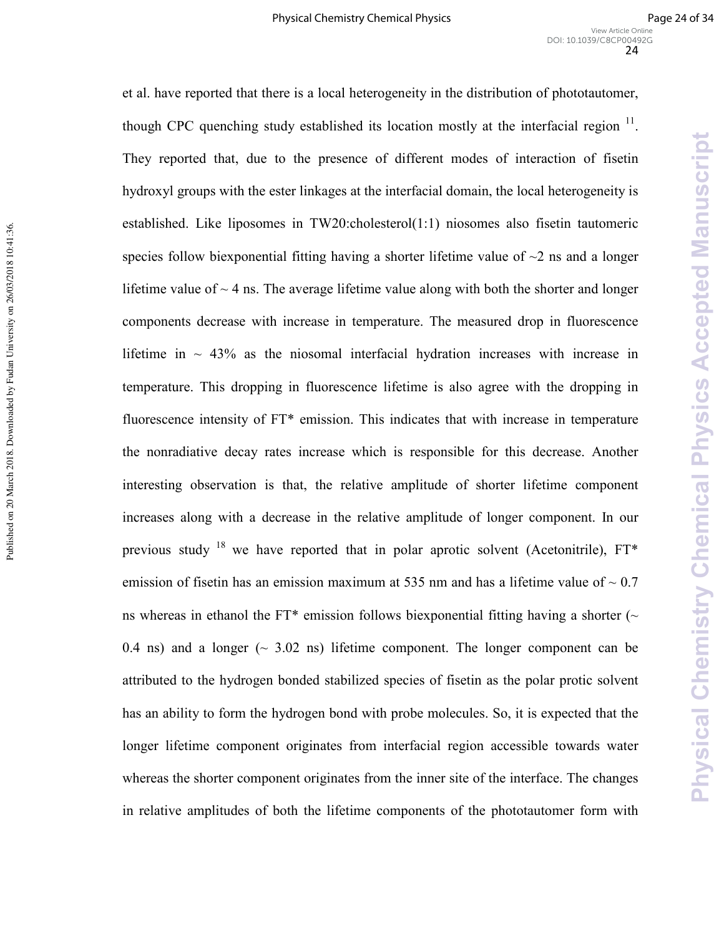**Physical Chemistry Chemical Physics Accepted Manuscript** 

et al. have reported that there is a local heterogeneity in the distribution of phototautomer, though CPC quenching study established its location mostly at the interfacial region  $11$ . They reported that, due to the presence of different modes of interaction of fisetin hydroxyl groups with the ester linkages at the interfacial domain, the local heterogeneity is established. Like liposomes in TW20:cholesterol(1:1) niosomes also fisetin tautomeric species follow biexponential fitting having a shorter lifetime value of  $\sim$ 2 ns and a longer lifetime value of  $\sim$  4 ns. The average lifetime value along with both the shorter and longer components decrease with increase in temperature. The measured drop in fluorescence lifetime in  $\sim$  43% as the niosomal interfacial hydration increases with increase in temperature. This dropping in fluorescence lifetime is also agree with the dropping in fluorescence intensity of FT\* emission. This indicates that with increase in temperature the nonradiative decay rates increase which is responsible for this decrease. Another interesting observation is that, the relative amplitude of shorter lifetime component increases along with a decrease in the relative amplitude of longer component. In our previous study<sup>18</sup> we have reported that in polar aprotic solvent (Acetonitrile),  $FT^*$ emission of fisetin has an emission maximum at 535 nm and has a lifetime value of  $\sim 0.7$ ns whereas in ethanol the FT\* emission follows biexponential fitting having a shorter ( $\sim$ 0.4 ns) and a longer ( $\sim$  3.02 ns) lifetime component. The longer component can be attributed to the hydrogen bonded stabilized species of fisetin as the polar protic solvent has an ability to form the hydrogen bond with probe molecules. So, it is expected that the longer lifetime component originates from interfacial region accessible towards water whereas the shorter component originates from the inner site of the interface. The changes in relative amplitudes of both the lifetime components of the phototautomer form with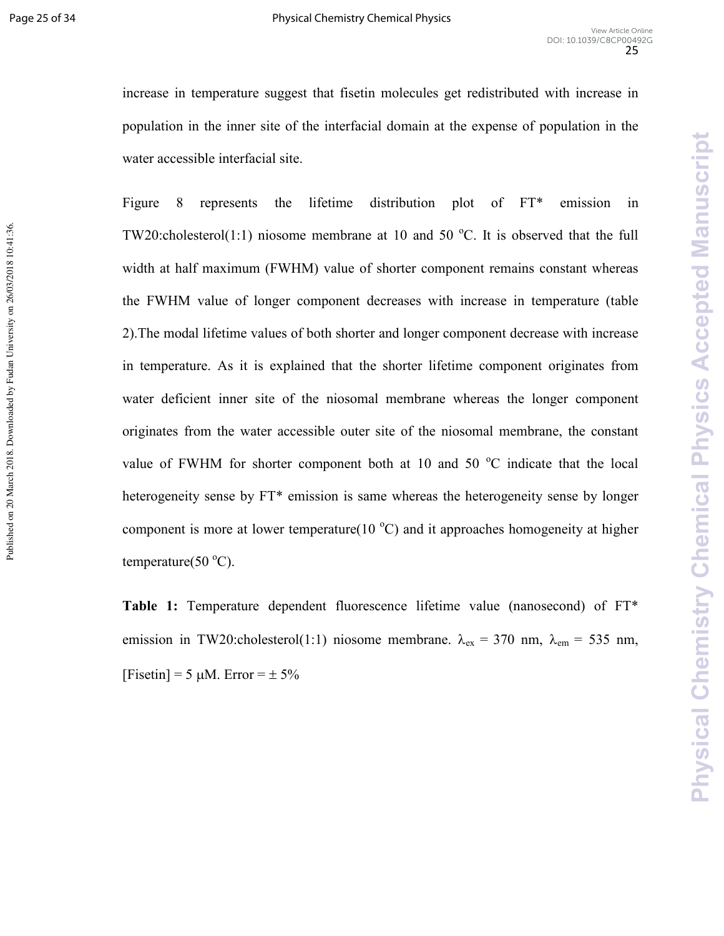Physical Chemistry Chemical Physics Accepted Manuscript

increase in temperature suggest that fisetin molecules get redistributed with increase in population in the inner site of the interfacial domain at the expense of population in the water accessible interfacial site.

Figure 8 represents the lifetime distribution plot of FT\* emission in TW20:cholesterol(1:1) niosome membrane at 10 and 50  $^{\circ}$ C. It is observed that the full width at half maximum (FWHM) value of shorter component remains constant whereas the FWHM value of longer component decreases with increase in temperature (table 2).The modal lifetime values of both shorter and longer component decrease with increase in temperature. As it is explained that the shorter lifetime component originates from water deficient inner site of the niosomal membrane whereas the longer component originates from the water accessible outer site of the niosomal membrane, the constant value of FWHM for shorter component both at 10 and 50  $^{\circ}$ C indicate that the local heterogeneity sense by FT<sup>\*</sup> emission is same whereas the heterogeneity sense by longer component is more at lower temperature(10  $^{\circ}$ C) and it approaches homogeneity at higher temperature(50 $^{\circ}$ C).

Table 1: Temperature dependent fluorescence lifetime value (nanosecond) of FT\* emission in TW20:cholesterol(1:1) niosome membrane.  $\lambda_{ex} = 370$  nm,  $\lambda_{em} = 535$  nm, [Fisetin] = 5  $\mu$ M. Error =  $\pm$  5%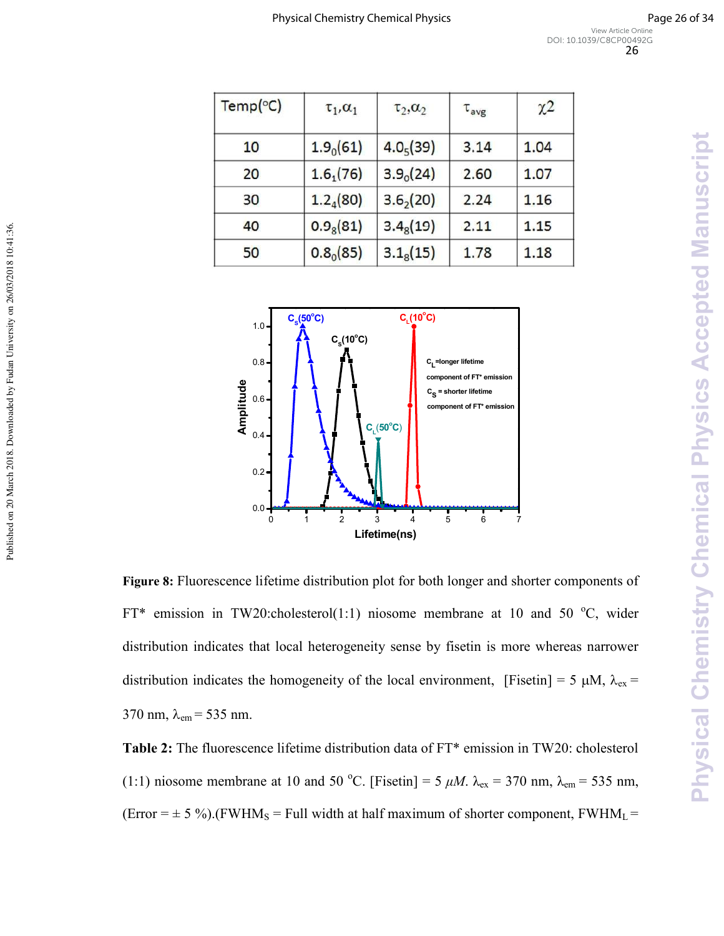| $Temp$ <sup>o</sup> C) | $\tau_1, \alpha_1$    | $\tau_2, \alpha_2$    | $\tau_{avg}$ | $\chi$ <sup>2</sup> |
|------------------------|-----------------------|-----------------------|--------------|---------------------|
| 10                     | 1.9 <sub>0</sub> (61) | 4.0 <sub>5</sub> (39) | 3.14         | 1.04                |
| 20                     | 1.6 <sub>1</sub> (76) | 3.9 <sub>o</sub> (24) | 2.60         | 1.07                |
| 30                     | 1.2 <sub>4</sub> (80) | $3.6_{2}(20)$         | 2.24         | 1.16                |
| 40                     | $0.9_8(81)$           | $3.4_8(19)$           | 2.11         | 1.15                |
| 50                     | $0.8_0(85)$           | $3.1_8(15)$           | 1.78         | 1.18                |



Published on 20 March 2018. Downloaded by Fudan University on 26/03/2018 10:41:36.

Figure 8: Fluorescence lifetime distribution plot for both longer and shorter components of FT\* emission in TW20:cholesterol(1:1) niosome membrane at 10 and 50  $^{\circ}$ C, wider distribution indicates that local heterogeneity sense by fisetin is more whereas narrower distribution indicates the homogeneity of the local environment, [Fisetin] = 5  $\mu$ M,  $\lambda_{ex}$  = 370 nm,  $\lambda_{\rm em}$  = 535 nm.

Table 2: The fluorescence lifetime distribution data of FT\* emission in TW20: cholesterol (1:1) niosome membrane at 10 and 50 °C. [Fisetin] = 5  $\mu$ M.  $\lambda_{\text{ex}}$  = 370 nm,  $\lambda_{\text{em}}$  = 535 nm, (Error =  $\pm$  5 %).(FWHM<sub>S</sub> = Full width at half maximum of shorter component, FWHM<sub>L</sub> =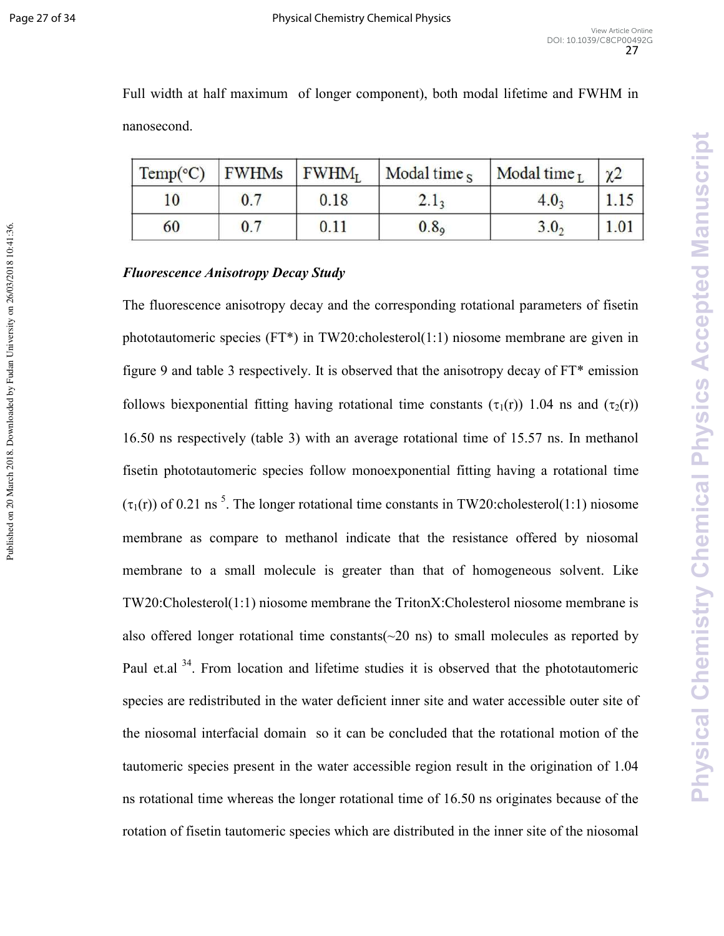Published on 20 March 2018. Downloaded by Fudan University on 26/03/2018 10:41:36.

Full width at half maximum of longer component), both modal lifetime and FWHM in nanosecond.

| Temp(°C) | <b>FWHMs</b> | $\mathbf{FWHM}_{\mathrm{I}}$ | Modal time $s$   | Modal time $_I$ | $\gamma$ |
|----------|--------------|------------------------------|------------------|-----------------|----------|
| 10       | 0.7          | 0.18                         | 2.1 <sub>3</sub> | $4.0_{3}$       |          |
| 60       | 0.7          | 0.11                         | 0.8 <sub>o</sub> | 3.0,            |          |

### **Fluorescence Anisotropy Decay Study**

The fluorescence anisotropy decay and the corresponding rotational parameters of fisetin phototautomeric species (FT\*) in TW20:cholesterol(1:1) niosome membrane are given in figure 9 and table 3 respectively. It is observed that the anisotropy decay of FT\* emission follows biexponential fitting having rotational time constants ( $\tau_1(r)$ ) 1.04 ns and ( $\tau_2(r)$ ) 16.50 ns respectively (table 3) with an average rotational time of 15.57 ns. In methanol fisetin phototautomeric species follow monoexponential fitting having a rotational time  $(\tau_1(r))$  of 0.21 ns<sup>5</sup>. The longer rotational time constants in TW20:cholesterol(1:1) niosome membrane as compare to methanol indicate that the resistance offered by niosomal membrane to a small molecule is greater than that of homogeneous solvent. Like TW20:Cholesterol(1:1) niosome membrane the TritonX:Cholesterol niosome membrane is also offered longer rotational time constants  $(\sim 20 \text{ ns})$  to small molecules as reported by Paul et.al<sup>34</sup>. From location and lifetime studies it is observed that the phototautomeric species are redistributed in the water deficient inner site and water accessible outer site of the niosomal interfacial domain so it can be concluded that the rotational motion of the tautomeric species present in the water accessible region result in the origination of 1.04 ns rotational time whereas the longer rotational time of 16.50 ns originates because of the rotation of fisetin tautomeric species which are distributed in the inner site of the niosomal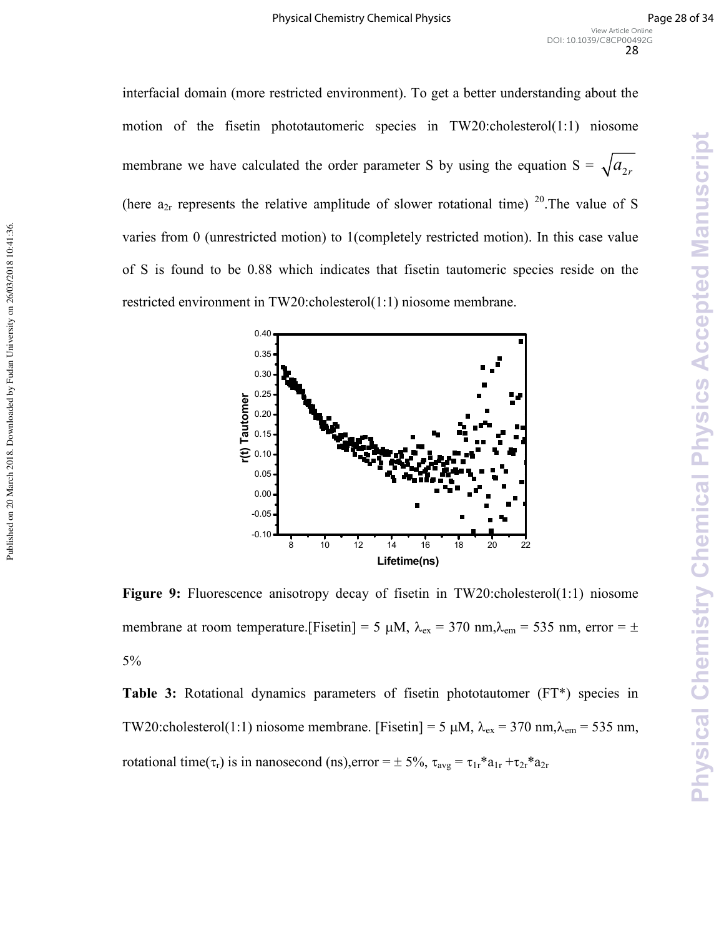interfacial domain (more restricted environment). To get a better understanding about the motion of the fisetin phototautomeric species in TW20:cholesterol(1:1) niosome membrane we have calculated the order parameter S by using the equation  $S = \sqrt{a_{2r}}$ (here  $a_{2r}$  represents the relative amplitude of slower rotational time)  $20$ . The value of S varies from 0 (unrestricted motion) to 1(completely restricted motion). In this case value of S is found to be 0.88 which indicates that fisetin tautomeric species reside on the restricted environment in TW20:cholesterol(1:1) niosome membrane.



Published on 20 March 2018. Downloaded by Fudan University on 26/03/2018 10:41:36.

Published on 20 March 2018. Downloaded by Fudan University on 26/03/2018 10:41:36.

**Figure 9:** Fluorescence anisotropy decay of fisetin in TW20:cholesterol(1:1) niosome membrane at room temperature.[Fisetin] = 5  $\mu$ M,  $\lambda_{ex}$  = 370 nm, $\lambda_{em}$  = 535 nm, error =  $\pm$ 5%

**Table 3:** Rotational dynamics parameters of fisetin phototautomer (FT\*) species in TW20:cholesterol(1:1) niosome membrane. [Fisetin] = 5  $\mu$ M,  $\lambda_{ex}$  = 370 nm,  $\lambda_{em}$  = 535 nm, rotational time( $\tau_r$ ) is in nanosecond (ns),error =  $\pm$  5%,  $\tau_{avg} = \tau_{1r} * a_{1r} + \tau_{2r} * a_{2r}$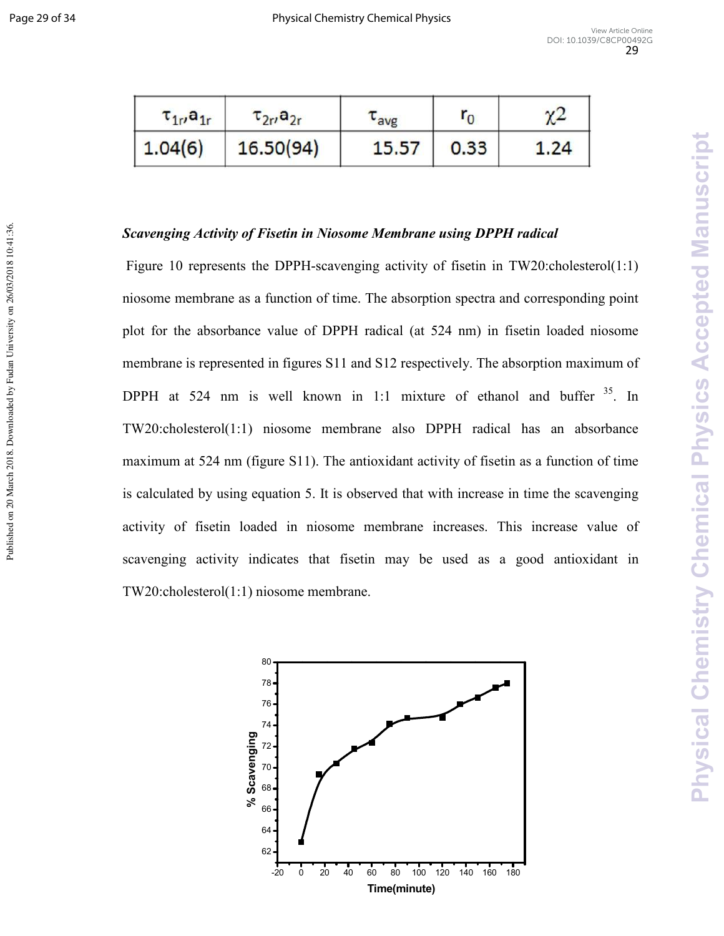Published on 20 March 2018. Downloaded by Fudan University on 26/03/2018 10:41:36.

| $\tau_{1r}$ , $a_{1r}$ | $\tau_{2r}$ , a <sub>2r</sub> | <b>L</b> avg | ' n  | $\chi$ <sup>2</sup> |
|------------------------|-------------------------------|--------------|------|---------------------|
| 1.04(6)                | 16.50(94)                     | 15.57        | 0.33 | 1.24                |

# Scavenging Activity of Fisetin in Niosome Membrane using DPPH radical

Figure 10 represents the DPPH-scavenging activity of fisetin in TW20:cholesterol(1:1) niosome membrane as a function of time. The absorption spectra and corresponding point plot for the absorbance value of DPPH radical (at 524 nm) in fisetin loaded niosome membrane is represented in figures S11 and S12 respectively. The absorption maximum of DPPH at 524 nm is well known in 1:1 mixture of ethanol and buffer  $35$ . In TW20:cholesterol(1:1) niosome membrane also DPPH radical has an absorbance maximum at 524 nm (figure S11). The antioxidant activity of fisetin as a function of time is calculated by using equation 5. It is observed that with increase in time the scavenging activity of fisetin loaded in niosome membrane increases. This increase value of scavenging activity indicates that fisetin may be used as a good antioxidant in TW20:cholesterol(1:1) niosome membrane.

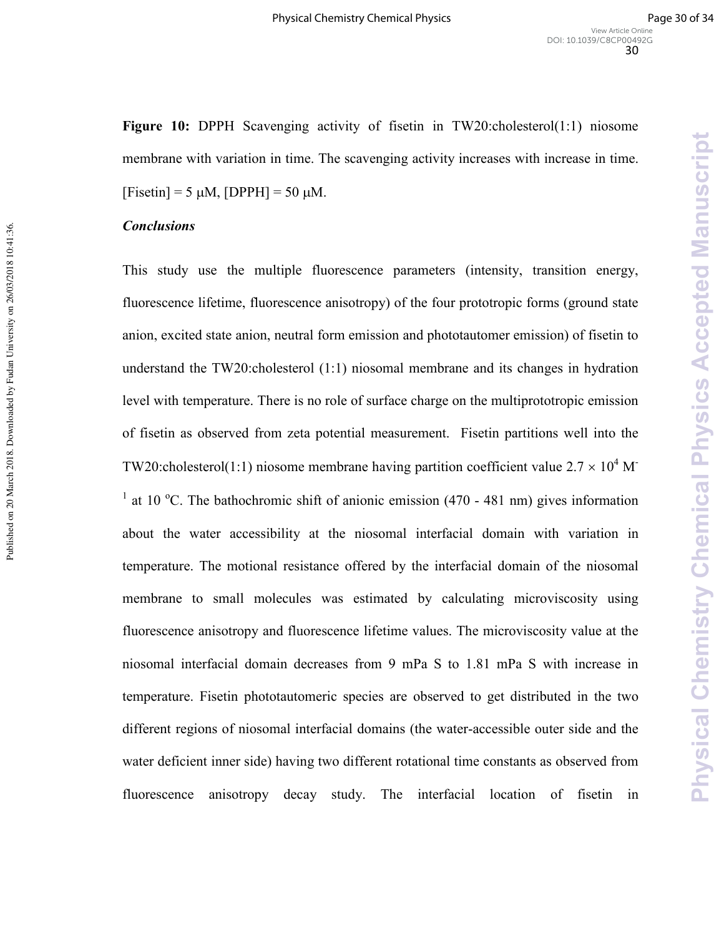Physical Chemistry Chemical Physics Accepted Manuscript

**Figure 10:** DPPH Scavenging activity of fisetin in TW20:cholesterol(1:1) niosome membrane with variation in time. The scavenging activity increases with increase in time.  $[Fisetin] = 5 \mu M$ ,  $[DPPH] = 50 \mu M$ .

#### **Conclusions**

This study use the multiple fluorescence parameters (intensity, transition energy, fluorescence lifetime, fluorescence anisotropy) of the four prototropic forms (ground state anion, excited state anion, neutral form emission and phototautomer emission) of fisetin to understand the TW20:cholesterol (1:1) niosomal membrane and its changes in hydration level with temperature. There is no role of surface charge on the multiprototropic emission of fisetin as observed from zeta potential measurement. Fisetin partitions well into the TW20:cholesterol(1:1) niosome membrane having partition coefficient value  $2.7 \times 10^4$  M <sup>1</sup> at 10 °C. The bathochromic shift of anionic emission (470 - 481 nm) gives information about the water accessibility at the niosomal interfacial domain with variation in temperature. The motional resistance offered by the interfacial domain of the niosomal membrane to small molecules was estimated by calculating microviscosity using fluorescence anisotropy and fluorescence lifetime values. The microviscosity value at the niosomal interfacial domain decreases from 9 mPa S to 1.81 mPa S with increase in temperature. Fisetin phototautomeric species are observed to get distributed in the two different regions of niosomal interfacial domains (the water-accessible outer side and the water deficient inner side) having two different rotational time constants as observed from fluorescence anisotropy decay study. The interfacial location of fisetin in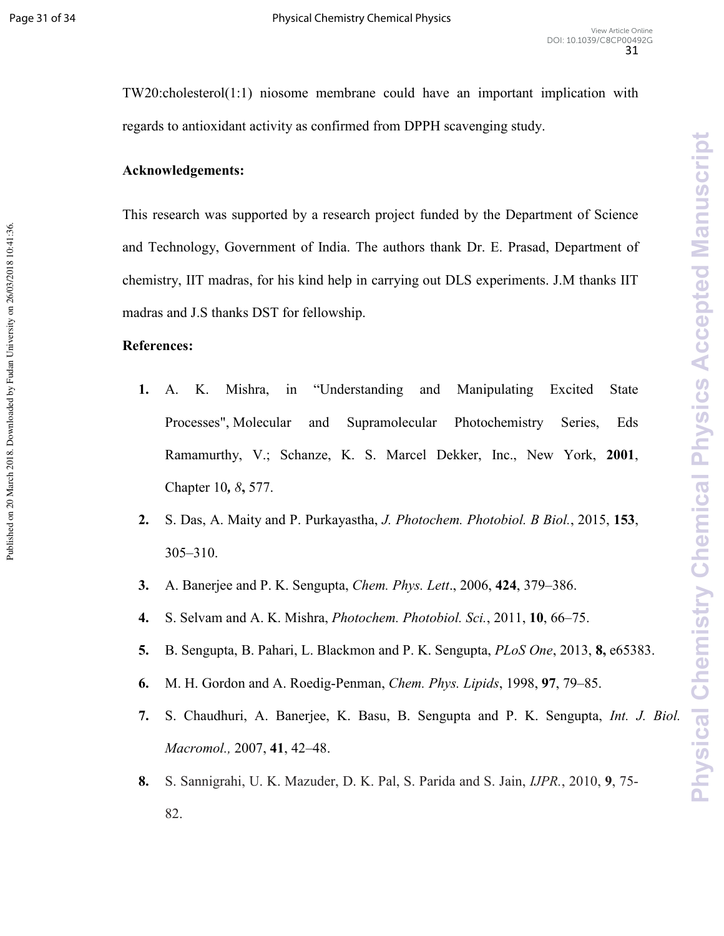Published on 20 March 2018. Downloaded by Fudan University on 26/03/2018 10:41:36.

TW20:cholesterol(1:1) niosome membrane could have an important implication with regards to antioxidant activity as confirmed from DPPH scavenging study.

# Acknowledgements:

This research was supported by a research project funded by the Department of Science and Technology, Government of India. The authors thank Dr. E. Prasad, Department of chemistry, IIT madras, for his kind help in carrying out DLS experiments. J.M thanks IIT madras and J.S thanks DST for fellowship.

# **References:**

- **!6** A. K. Mishra, in "Understanding and Manipulating Excited State Processes", Molecular and Supramolecular Photochemistry Series, Eds Ramamurthy, V.; Schanze, K. S. Marcel Dekker, Inc., New York, 2001, Chapter 10*+ 8***(** 577.
- **6** S. Das, A. Maity and P. Purkayastha, *J. Photochem. Photobiol. B Biol.*, 2015, **!10**, 305–310.
- **06** A. Banerjee and P. K. Sengupta, *Chem. Phys. Lett*., 2006, **\*\***, 379–386.
- **\*6** S. Selvam and A. K. Mishra, *Photochem. Photobiol. Sci.*, 2011, **!**, 66–75.
- **16** B. Sengupta, B. Pahari, L. Blackmon and P. K. Sengupta, *PLoS One*, 2013, **3(** e65383.
- **+6** M. H. Gordon and A. Roedig)Penman, *Chem. Phys. Lipids*, 1998, **42**, 79–85.
- **26** S. Chaudhuri, A. Banerjee, K. Basu, B. Sengupta and P. K. Sengupta, *Int. J. Biol. Macromol.,* 2007, **\*!**, 42–48.
- **36** S. Sannigrahi, U. K. Mazuder, D. K. Pal, S. Parida and S. Jain, *IJPR.*, 2010, **4**, 75) 82.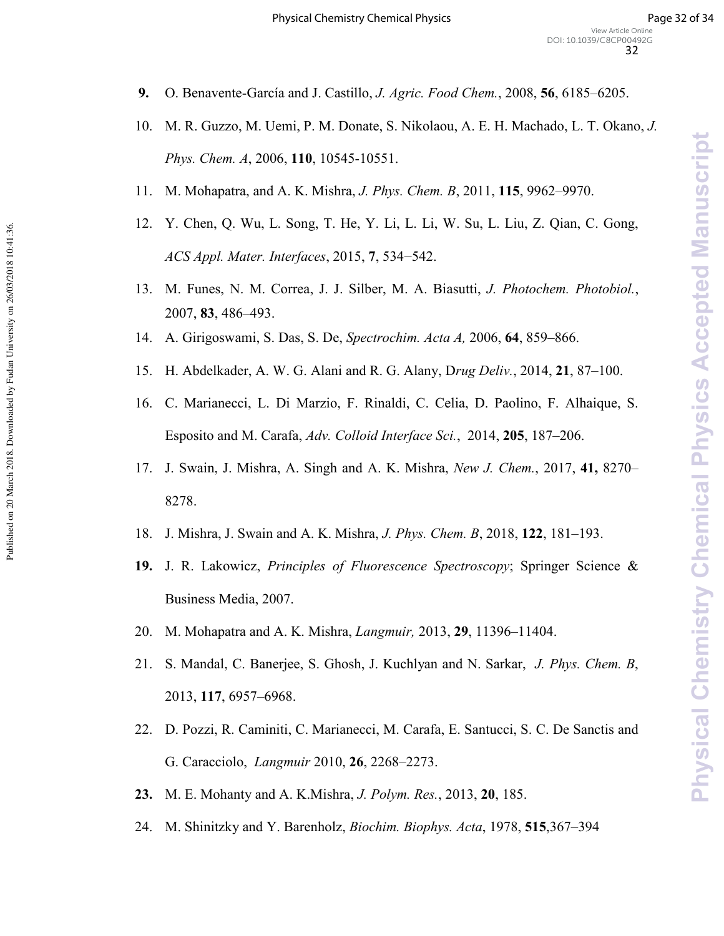- **9.** O. Benavente-García and J. Castillo, *J. Agric. Food Chem.*, 2008, **56**, 6185–6205.
- 10. M. R. Guzzo, M. Uemi, P. M. Donate, S. Nikolaou, A. E. H. Machado, L. T. Okano, *J. Phys. Chem. A, 2006, 110, 10545-10551.*
- 11. M. Mohapatra, and A. K. Mishra, *J. Phys. Chem. B*, 2011, **!!1**, 9962–9970.
- 12. Y. Chen, Q. Wu, L. Song, T. He, Y. Li, L. Li, W. Su, L. Liu, Z. Qian, C. Gong, *ACS Appl. Mater. Interfaces*, 2015, **2**, 534−542.
- 13. M. Funes, N. M. Correa, J. J. Silber, M. A. Biasutti, *J. Photochem. Photobiol.*, 2007, **30**, 486–493.
- 14. A. Girigoswami, S. Das, S. De, *Spectrochim. Acta A*, 2006, **64**, 859–866.

Published on 20 March 2018. Downloaded by Fudan University on 26/03/2018 10:41:36.

- 15. H. Abdelkader, A. W. G. Alani and R. G. Alany, D*rug Deliv.*, 2014, **!**, 87–100.
- 16. C. Marianecci, L. Di Marzio, F. Rinaldi, C. Celia, D. Paolino, F. Alhaique, S. Esposito and M. Carafa, *Adv. Colloid Interface Sci.*, 2014, 205, 187–206.
- 17. J. Swain, J. Mishra, A. Singh and A. K. Mishra, *New J. Chem.*, 2017, **\*!(** 8270– 8278.
- 18. J. Mishra, J. Swain and A. K. Mishra, *J. Phys. Chem. B*, 2018, **!**, 181–193.
- **!46** J. R. Lakowicz, *Principles of Fluorescence Spectroscopy*; Springer Science & Business Media, 2007.
- 20. M. Mohapatra and A. K. Mishra, *Langmuir,* 2013, **4**, 11396–11404.
- 21. S. Mandal, C. Banerjee, S. Ghosh, J. Kuchlyan and N. Sarkar, *J. Phys. Chem. B*, 2013, **!!2**, 6957–6968.
- 22. D. Pozzi, R. Caminiti, C. Marianecci, M. Carafa, E. Santucci, S. C. De Sanctis and G. Caracciolo, *Langmuir* 2010, **26**, 2268–2273.
- **23.** M. E. Mohanty and A. K.Mishra, *J. Polym. Res.*, 2013, **20**, 185.
- 24. M. Shinitzky and Y. Barenholz, *Biochim. Biophys. Acta*, 1978, **515**, 367–394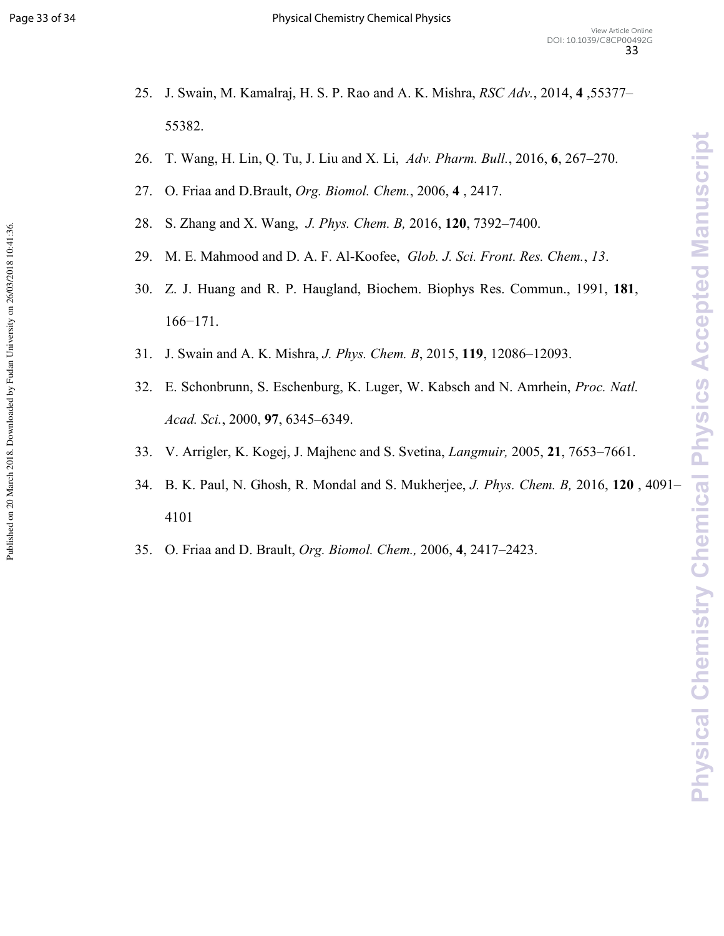Published on 20 March 2018. Downloaded by Fudan University on 26/03/2018 10:41:36.

- 25. J. Swain, M. Kamalraj, H. S. P. Rao and A. K. Mishra, *RSC Adv.*, 2014, **\*** ,55377– 55382.
- 26. T. Wang, H. Lin, Q. Tu, J. Liu and X. Li, *Adv. Pharm. Bull.*, 2016, **+**, 267–270.
- 27. O. Friaa and D.Brault, *Org. Biomol. Chem.*, 2006, **\*** , 2417.
- 28. S. Zhang and X. Wang, *J. Phys. Chem. B,* 2016, **!**, 7392–7400.
- 29. M. E. Mahmood and D. A. F. Al-Koofee, *Glob. J. Sci. Front. Res. Chem.*, 13.
- 30. Z. J. Huang and R. P. Haugland, Biochem. Biophys Res. Commun., 1991, **!3!**, 166−171.
- 31. J. Swain and A. K. Mishra, *J. Phys. Chem. B*, 2015, **!!4**, 12086–12093.
- 32. E. Schonbrunn, S. Eschenburg, K. Luger, W. Kabsch and N. Amrhein, *Proc. Natl. Acad. Sci.*, 2000, **42**, 6345–6349.
- 33. V. Arrigler, K. Kogej, J. Majhenc and S. Svetina, *Langmuir,* 2005, **!**, 7653–7661.
- 34. B. K. Paul, N. Ghosh, R. Mondal and S. Mukherjee, *J. Phys. Chem. B,* 2016, **!** , 4091– 4101
- 35. O. Friaa and D. Brault, *Org. Biomol. Chem.,* 2006, **\***, 2417–2423.